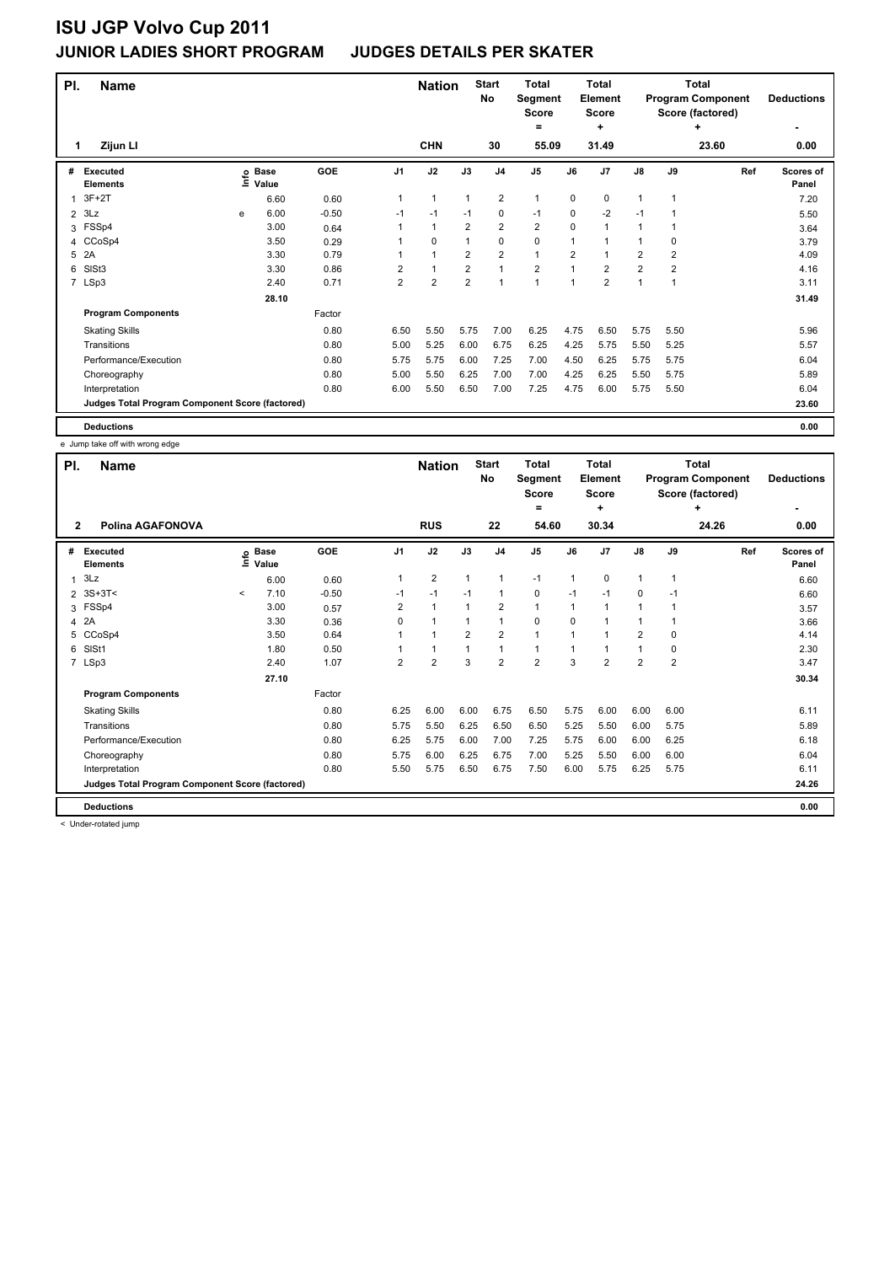| PI. | <b>Name</b>                                     |   |                            |            | <b>Nation</b>  |                         | <b>Start</b><br><b>No</b> | <b>Total</b><br>Segment<br><b>Score</b><br>$=$ |                | <b>Total</b><br>Element<br>Score<br>÷ |                |                | <b>Total</b><br><b>Program Component</b><br>Score (factored)<br>٠ | <b>Deductions</b> |                    |
|-----|-------------------------------------------------|---|----------------------------|------------|----------------|-------------------------|---------------------------|------------------------------------------------|----------------|---------------------------------------|----------------|----------------|-------------------------------------------------------------------|-------------------|--------------------|
| 1   | Zijun Ll                                        |   |                            |            |                | <b>CHN</b>              |                           | 30                                             | 55.09          |                                       | 31.49          |                |                                                                   | 23.60             | 0.00               |
| #   | <b>Executed</b><br><b>Elements</b>              |   | e Base<br>E Value<br>Value | <b>GOE</b> | J1             | J2                      | J3                        | J <sub>4</sub>                                 | J <sub>5</sub> | J6                                    | J <sub>7</sub> | $\mathsf{J}8$  | J9                                                                | Ref               | Scores of<br>Panel |
|     | $3F+2T$                                         |   | 6.60                       | 0.60       | 1              | $\mathbf{1}$            | $\mathbf{1}$              | $\overline{2}$                                 | 1              | 0                                     | 0              | 1              | 1                                                                 |                   | 7.20               |
| 2   | 3Lz                                             | e | 6.00                       | $-0.50$    | $-1$           | $-1$                    | $-1$                      | $\mathbf 0$                                    | $-1$           | 0                                     | $-2$           | $-1$           | 1                                                                 |                   | 5.50               |
| 3   | FSSp4                                           |   | 3.00                       | 0.64       | 1              | $\mathbf{1}$            | $\overline{2}$            | $\overline{2}$                                 | $\overline{2}$ | 0                                     | $\mathbf{1}$   | 1              | 1                                                                 |                   | 3.64               |
|     | 4 CCoSp4                                        |   | 3.50                       | 0.29       |                | 0                       | 1                         | $\mathbf 0$                                    | 0              | 1                                     | $\mathbf{1}$   | 1              | 0                                                                 |                   | 3.79               |
| 5   | 2A                                              |   | 3.30                       | 0.79       | 1              | $\mathbf{1}$            | $\overline{2}$            | $\overline{2}$                                 | $\mathbf{1}$   | $\overline{2}$                        | 1              | $\overline{2}$ | $\overline{2}$                                                    |                   | 4.09               |
| 6   | SISt <sub>3</sub>                               |   | 3.30                       | 0.86       | $\overline{2}$ | $\mathbf{1}$            | $\overline{2}$            | $\mathbf{1}$                                   | $\overline{2}$ | 1                                     | $\overline{2}$ | $\overline{2}$ | $\overline{2}$                                                    |                   | 4.16               |
|     | 7 LSp3                                          |   | 2.40                       | 0.71       | $\overline{2}$ | $\overline{\mathbf{c}}$ | 2                         | $\overline{1}$                                 | 1              | 1                                     | $\overline{2}$ | 1              | 1                                                                 |                   | 3.11               |
|     |                                                 |   | 28.10                      |            |                |                         |                           |                                                |                |                                       |                |                |                                                                   |                   | 31.49              |
|     | <b>Program Components</b>                       |   |                            | Factor     |                |                         |                           |                                                |                |                                       |                |                |                                                                   |                   |                    |
|     | <b>Skating Skills</b>                           |   |                            | 0.80       | 6.50           | 5.50                    | 5.75                      | 7.00                                           | 6.25           | 4.75                                  | 6.50           | 5.75           | 5.50                                                              |                   | 5.96               |
|     | Transitions                                     |   |                            | 0.80       | 5.00           | 5.25                    | 6.00                      | 6.75                                           | 6.25           | 4.25                                  | 5.75           | 5.50           | 5.25                                                              |                   | 5.57               |
|     | Performance/Execution                           |   |                            | 0.80       | 5.75           | 5.75                    | 6.00                      | 7.25                                           | 7.00           | 4.50                                  | 6.25           | 5.75           | 5.75                                                              |                   | 6.04               |
|     | Choreography                                    |   |                            | 0.80       | 5.00           | 5.50                    | 6.25                      | 7.00                                           | 7.00           | 4.25                                  | 6.25           | 5.50           | 5.75                                                              |                   | 5.89               |
|     | Interpretation                                  |   |                            | 0.80       | 6.00           | 5.50                    | 6.50                      | 7.00                                           | 7.25           | 4.75                                  | 6.00           | 5.75           | 5.50                                                              |                   | 6.04               |
|     | Judges Total Program Component Score (factored) |   |                            |            |                |                         |                           |                                                |                |                                       |                |                |                                                                   |                   | 23.60              |
|     | <b>Deductions</b>                               |   |                            |            |                |                         |                           |                                                |                |                                       |                |                |                                                                   |                   | 0.00               |

e Jump take off with wrong edge

| PI.          | <b>Name</b>                                     |         |                            |            |                | <b>Nation</b>        |                | <b>Start</b>            | <b>Total</b>            |              | <b>Total</b>            |                |                | <b>Total</b>                                 |                           |
|--------------|-------------------------------------------------|---------|----------------------------|------------|----------------|----------------------|----------------|-------------------------|-------------------------|--------------|-------------------------|----------------|----------------|----------------------------------------------|---------------------------|
|              |                                                 |         |                            |            |                |                      |                | No                      | Segment<br><b>Score</b> |              | Element<br><b>Score</b> |                |                | <b>Program Component</b><br>Score (factored) | <b>Deductions</b>         |
|              |                                                 |         |                            |            |                |                      |                |                         | =                       |              | ٠                       |                |                | ٠                                            | ۰                         |
| $\mathbf{2}$ | Polina AGAFONOVA                                |         |                            |            |                | <b>RUS</b>           |                | 22                      | 54.60                   |              | 30.34                   |                |                | 24.26                                        | 0.00                      |
| #            | <b>Executed</b><br><b>Elements</b>              |         | e Base<br>E Value<br>Value | <b>GOE</b> | J <sub>1</sub> | J2                   | J3             | J <sub>4</sub>          | J <sub>5</sub>          | J6           | J7                      | $\mathsf{J}8$  | J9             | Ref                                          | <b>Scores of</b><br>Panel |
| 1            | 3Lz                                             |         | 6.00                       | 0.60       | 1              | $\overline{2}$       | $\mathbf{1}$   | $\mathbf{1}$            | $-1$                    | $\mathbf{1}$ | 0                       | 1              | 1              |                                              | 6.60                      |
|              | 2 3S+3T<                                        | $\,<\,$ | 7.10                       | $-0.50$    | $-1$           | $-1$                 | $-1$           | $\mathbf{1}$            | 0                       | $-1$         | $-1$                    | 0              | $-1$           |                                              | 6.60                      |
|              | 3 FSSp4                                         |         | 3.00                       | 0.57       | 2              | $\mathbf{1}$         | 1              | $\overline{2}$          | $\mathbf{1}$            | 1            | 1                       | 1              |                |                                              | 3.57                      |
|              | 4 2A                                            |         | 3.30                       | 0.36       | 0              | $\blacktriangleleft$ | 1              | $\mathbf{1}$            | $\mathbf 0$             | $\Omega$     | 1                       | 1              |                |                                              | 3.66                      |
| 5            | CCoSp4                                          |         | 3.50                       | 0.64       |                | $\overline{1}$       | $\overline{2}$ | $\overline{2}$          | $\mathbf{1}$            | 1            | 1                       | $\overline{2}$ | 0              |                                              | 4.14                      |
| 6            | SISt1                                           |         | 1.80                       | 0.50       |                | $\mathbf{1}$         | $\mathbf{1}$   | $\mathbf{1}$            | $\mathbf{1}$            | 1            |                         | 1              | 0              |                                              | 2.30                      |
|              | 7 LSp3                                          |         | 2.40                       | 1.07       | 2              | $\overline{2}$       | 3              | $\overline{\mathbf{c}}$ | $\overline{\mathbf{c}}$ | 3            | $\overline{2}$          | $\overline{2}$ | $\overline{2}$ |                                              | 3.47                      |
|              |                                                 |         | 27.10                      |            |                |                      |                |                         |                         |              |                         |                |                |                                              | 30.34                     |
|              | <b>Program Components</b>                       |         |                            | Factor     |                |                      |                |                         |                         |              |                         |                |                |                                              |                           |
|              | <b>Skating Skills</b>                           |         |                            | 0.80       | 6.25           | 6.00                 | 6.00           | 6.75                    | 6.50                    | 5.75         | 6.00                    | 6.00           | 6.00           |                                              | 6.11                      |
|              | Transitions                                     |         |                            | 0.80       | 5.75           | 5.50                 | 6.25           | 6.50                    | 6.50                    | 5.25         | 5.50                    | 6.00           | 5.75           |                                              | 5.89                      |
|              | Performance/Execution                           |         |                            | 0.80       | 6.25           | 5.75                 | 6.00           | 7.00                    | 7.25                    | 5.75         | 6.00                    | 6.00           | 6.25           |                                              | 6.18                      |
|              | Choreography                                    |         |                            | 0.80       | 5.75           | 6.00                 | 6.25           | 6.75                    | 7.00                    | 5.25         | 5.50                    | 6.00           | 6.00           |                                              | 6.04                      |
|              | Interpretation                                  |         |                            | 0.80       | 5.50           | 5.75                 | 6.50           | 6.75                    | 7.50                    | 6.00         | 5.75                    | 6.25           | 5.75           |                                              | 6.11                      |
|              | Judges Total Program Component Score (factored) |         |                            |            |                |                      |                |                         |                         |              |                         |                |                |                                              | 24.26                     |
|              | <b>Deductions</b>                               |         |                            |            |                |                      |                |                         |                         |              |                         |                |                |                                              | 0.00                      |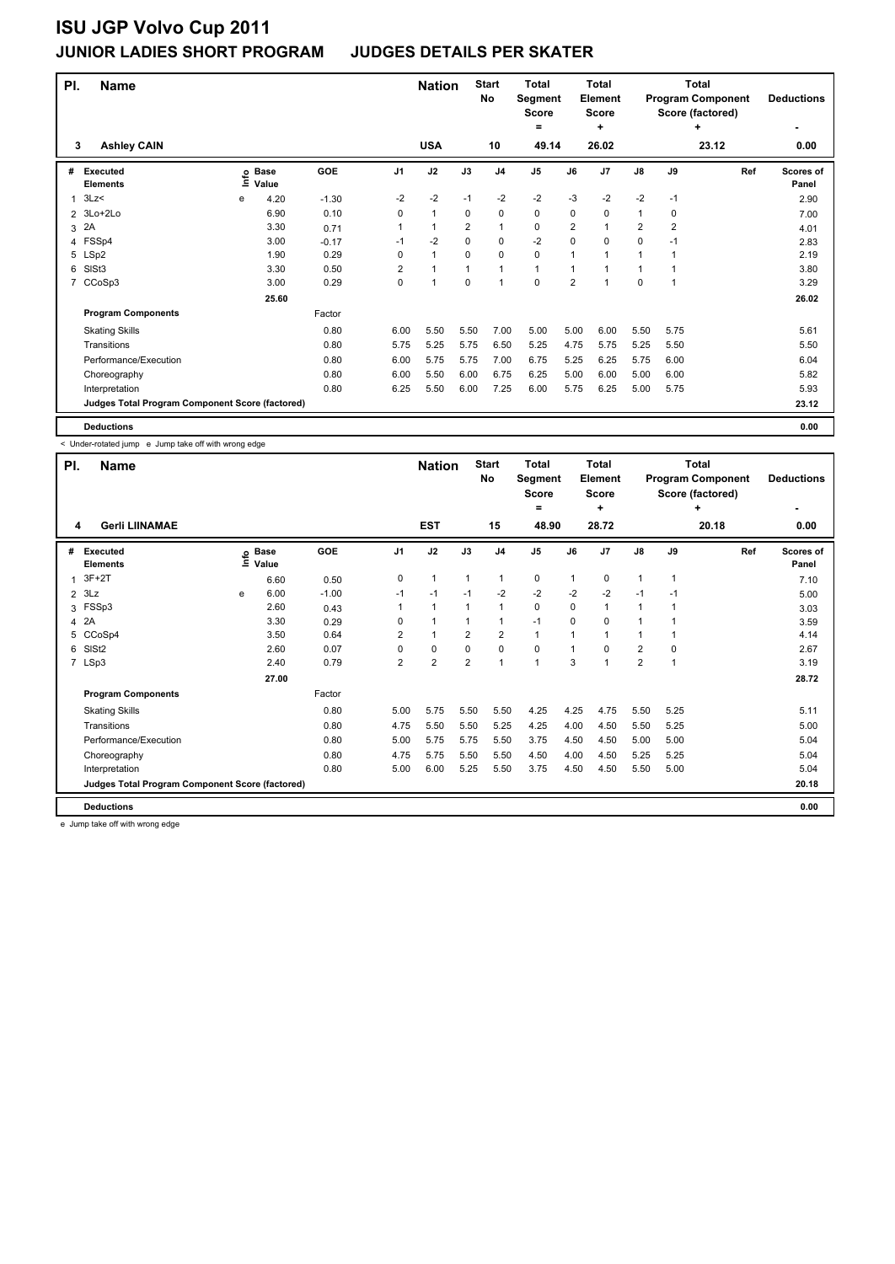| PI.            | <b>Name</b><br><b>Ashley CAIN</b>               |   |                   |         |                | <b>Nation</b> |                | <b>Start</b><br>No | <b>Total</b><br>Segment<br><b>Score</b><br>= |                | Total<br>Element<br><b>Score</b><br>÷ |                |                | Total<br><b>Program Component</b><br>Score (factored)<br>٠ | <b>Deductions</b>  |
|----------------|-------------------------------------------------|---|-------------------|---------|----------------|---------------|----------------|--------------------|----------------------------------------------|----------------|---------------------------------------|----------------|----------------|------------------------------------------------------------|--------------------|
| 3              |                                                 |   |                   |         |                | <b>USA</b>    |                | 10                 | 49.14                                        |                | 26.02                                 |                |                | 23.12                                                      | 0.00               |
| #              | <b>Executed</b><br><b>Elements</b>              |   | e Base<br>⊑ Value | GOE     | J <sub>1</sub> | J2            | J3             | J <sub>4</sub>     | J <sub>5</sub>                               | J6             | J <sub>7</sub>                        | J8             | J9             | Ref                                                        | Scores of<br>Panel |
| 1              | 3Lz                                             | e | 4.20              | $-1.30$ | $-2$           | $-2$          | $-1$           | $-2$               | $-2$                                         | $-3$           | $-2$                                  | $-2$           | $-1$           |                                                            | 2.90               |
| $\overline{2}$ | 3Lo+2Lo                                         |   | 6.90              | 0.10    | 0              | $\mathbf{1}$  | 0              | 0                  | 0                                            | 0              | 0                                     | 1              | 0              |                                                            | 7.00               |
| 3              | 2A                                              |   | 3.30              | 0.71    | 1              | $\mathbf{1}$  | $\overline{2}$ | 1                  | 0                                            | $\overline{2}$ | 1                                     | $\overline{2}$ | $\overline{2}$ |                                                            | 4.01               |
|                | 4 FSSp4                                         |   | 3.00              | $-0.17$ | $-1$           | $-2$          | $\Omega$       | $\mathbf 0$        | $-2$                                         | 0              | 0                                     | 0              | $-1$           |                                                            | 2.83               |
|                | 5 LSp2                                          |   | 1.90              | 0.29    | 0              | $\mathbf{1}$  | $\Omega$       | $\mathbf 0$        | 0                                            | 1              | 1                                     | 1              |                |                                                            | 2.19               |
| 6              | SISt3                                           |   | 3.30              | 0.50    | $\overline{2}$ | $\mathbf{1}$  | $\mathbf{1}$   | $\overline{1}$     | 1                                            | 1              | 1                                     | 1              | 1              |                                                            | 3.80               |
| 7              | CCoSp3                                          |   | 3.00              | 0.29    | 0              | 1             | $\mathbf 0$    | $\overline{1}$     | 0                                            | $\overline{2}$ | 1                                     | 0              | 1              |                                                            | 3.29               |
|                |                                                 |   | 25.60             |         |                |               |                |                    |                                              |                |                                       |                |                |                                                            | 26.02              |
|                | <b>Program Components</b>                       |   |                   | Factor  |                |               |                |                    |                                              |                |                                       |                |                |                                                            |                    |
|                | <b>Skating Skills</b>                           |   |                   | 0.80    | 6.00           | 5.50          | 5.50           | 7.00               | 5.00                                         | 5.00           | 6.00                                  | 5.50           | 5.75           |                                                            | 5.61               |
|                | Transitions                                     |   |                   | 0.80    | 5.75           | 5.25          | 5.75           | 6.50               | 5.25                                         | 4.75           | 5.75                                  | 5.25           | 5.50           |                                                            | 5.50               |
|                | Performance/Execution                           |   |                   | 0.80    | 6.00           | 5.75          | 5.75           | 7.00               | 6.75                                         | 5.25           | 6.25                                  | 5.75           | 6.00           |                                                            | 6.04               |
|                | Choreography                                    |   |                   | 0.80    | 6.00           | 5.50          | 6.00           | 6.75               | 6.25                                         | 5.00           | 6.00                                  | 5.00           | 6.00           |                                                            | 5.82               |
|                | Interpretation                                  |   |                   | 0.80    | 6.25           | 5.50          | 6.00           | 7.25               | 6.00                                         | 5.75           | 6.25                                  | 5.00           | 5.75           |                                                            | 5.93               |
|                | Judges Total Program Component Score (factored) |   |                   |         |                |               |                |                    |                                              |                |                                       |                |                |                                                            | 23.12              |
|                | <b>Deductions</b>                               |   |                   |         |                |               |                |                    |                                              |                |                                       |                |                |                                                            | 0.00               |

< Under-rotated jump e Jump take off with wrong edge

|                | <b>Name</b><br>PI.<br>4                         |      |                      |         |                | <b>Nation</b>  |                | <b>Start</b><br>No | <b>Total</b><br>Segment<br><b>Score</b><br>= |              | <b>Total</b><br>Element<br><b>Score</b><br>٠ |                |      | Total<br><b>Program Component</b><br>Score (factored)<br>٠ | <b>Deductions</b>         |
|----------------|-------------------------------------------------|------|----------------------|---------|----------------|----------------|----------------|--------------------|----------------------------------------------|--------------|----------------------------------------------|----------------|------|------------------------------------------------------------|---------------------------|
|                | <b>Gerli LIINAMAE</b>                           |      |                      |         |                | <b>EST</b>     |                | 15                 | 48.90                                        |              | 28.72                                        |                |      | 20.18                                                      | 0.00                      |
| #              | <b>Executed</b><br><b>Elements</b>              | lnfo | <b>Base</b><br>Value | GOE     | J <sub>1</sub> | J2             | J3             | J <sub>4</sub>     | J <sub>5</sub>                               | J6           | J <sub>7</sub>                               | $\mathsf{J}8$  | J9   | Ref                                                        | <b>Scores of</b><br>Panel |
| 1              | $3F+2T$                                         |      | 6.60                 | 0.50    | 0              | $\mathbf{1}$   | $\mathbf{1}$   | 1                  | 0                                            | 1            | 0                                            | 1              | 1    |                                                            | 7.10                      |
| $\overline{2}$ | 3Lz                                             | e    | 6.00                 | $-1.00$ | $-1$           | $-1$           | $-1$           | $-2$               | $-2$                                         | $-2$         | $-2$                                         | $-1$           | $-1$ |                                                            | 5.00                      |
| 3              | FSSp3                                           |      | 2.60                 | 0.43    | 1              | $\mathbf{1}$   | $\mathbf 1$    | $\mathbf{1}$       | $\mathbf 0$                                  | $\Omega$     | $\mathbf{1}$                                 | $\mathbf{1}$   |      |                                                            | 3.03                      |
| 4              | 2A                                              |      | 3.30                 | 0.29    | 0              | 1              | $\mathbf{1}$   | $\mathbf{1}$       | $-1$                                         | $\Omega$     | $\Omega$                                     | 1              |      |                                                            | 3.59                      |
| 5              | CCoSp4                                          |      | 3.50                 | 0.64    | $\overline{2}$ | $\mathbf{1}$   | $\overline{2}$ | $\overline{2}$     | $\mathbf{1}$                                 | 1            | 1                                            | 1              |      |                                                            | 4.14                      |
| 6              | SIS <sub>t2</sub>                               |      | 2.60                 | 0.07    | $\Omega$       | $\mathbf 0$    | $\mathbf 0$    | $\mathbf 0$        | $\mathbf 0$                                  | $\mathbf{1}$ | $\Omega$                                     | $\overline{2}$ | 0    |                                                            | 2.67                      |
|                | 7 LSp3                                          |      | 2.40                 | 0.79    | 2              | $\overline{2}$ | $\overline{2}$ | $\mathbf{1}$       | $\mathbf{1}$                                 | 3            | 1                                            | $\overline{2}$ |      |                                                            | 3.19                      |
|                |                                                 |      | 27.00                |         |                |                |                |                    |                                              |              |                                              |                |      |                                                            | 28.72                     |
|                | <b>Program Components</b>                       |      |                      | Factor  |                |                |                |                    |                                              |              |                                              |                |      |                                                            |                           |
|                | <b>Skating Skills</b>                           |      |                      | 0.80    | 5.00           | 5.75           | 5.50           | 5.50               | 4.25                                         | 4.25         | 4.75                                         | 5.50           | 5.25 |                                                            | 5.11                      |
|                | Transitions                                     |      |                      | 0.80    | 4.75           | 5.50           | 5.50           | 5.25               | 4.25                                         | 4.00         | 4.50                                         | 5.50           | 5.25 |                                                            | 5.00                      |
|                | Performance/Execution                           |      |                      | 0.80    | 5.00           | 5.75           | 5.75           | 5.50               | 3.75                                         | 4.50         | 4.50                                         | 5.00           | 5.00 |                                                            | 5.04                      |
|                | Choreography                                    |      |                      | 0.80    | 4.75           | 5.75           | 5.50           | 5.50               | 4.50                                         | 4.00         | 4.50                                         | 5.25           | 5.25 |                                                            | 5.04                      |
|                | Interpretation                                  |      |                      | 0.80    | 5.00           | 6.00           | 5.25           | 5.50               | 3.75                                         | 4.50         | 4.50                                         | 5.50           | 5.00 |                                                            | 5.04                      |
|                | Judges Total Program Component Score (factored) |      |                      |         |                |                |                |                    |                                              |              |                                              |                |      |                                                            | 20.18                     |
|                | <b>Deductions</b>                               |      |                      |         |                |                |                |                    |                                              |              |                                              |                |      |                                                            | 0.00                      |

e Jump take off with wrong edge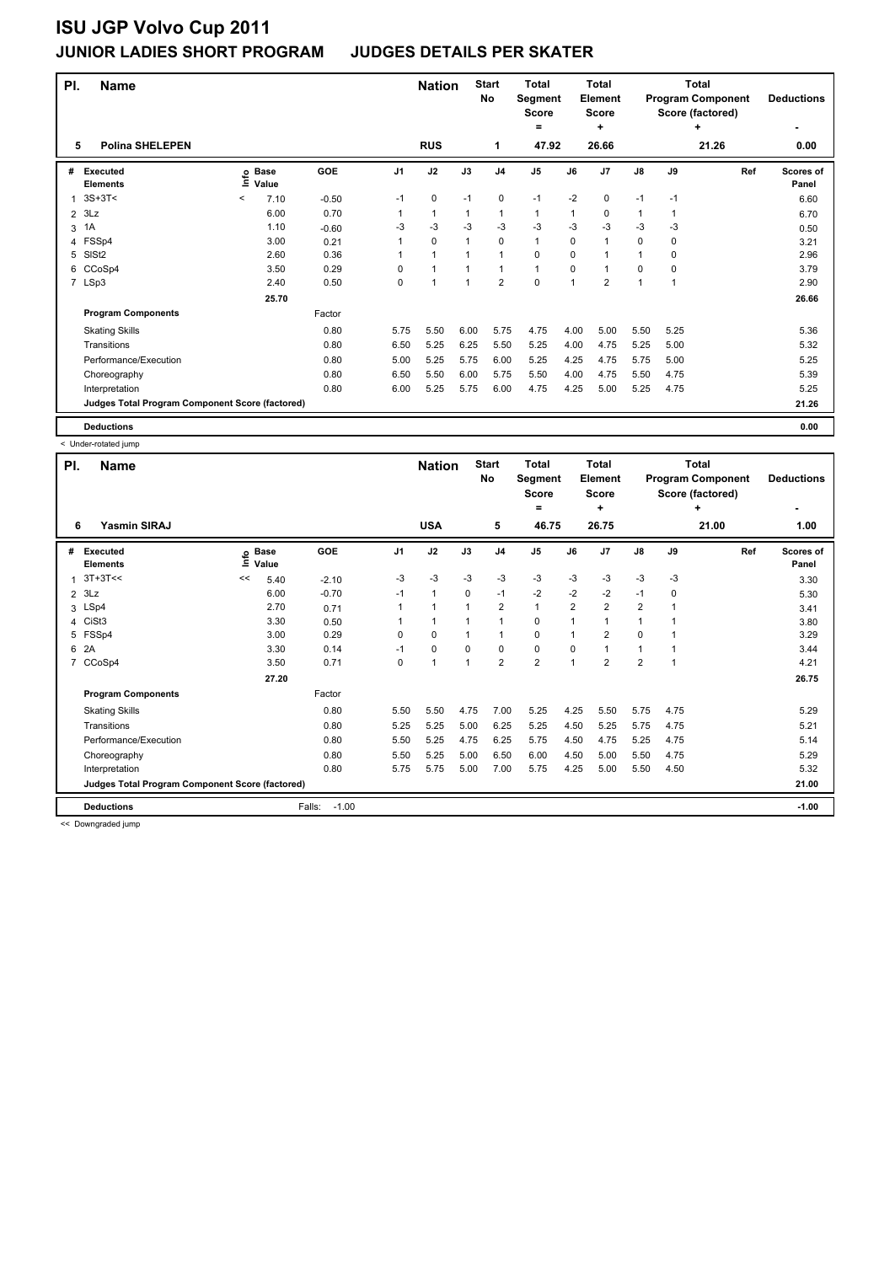| PI.            | <b>Name</b>                                     |         |                   |         |          | <b>Nation</b> |                | <b>Start</b><br>No | <b>Total</b><br>Segment<br><b>Score</b><br>= |          | Total<br>Element<br><b>Score</b><br>÷ |      |      | Total<br><b>Program Component</b><br>Score (factored)<br>٠ | <b>Deductions</b>  |
|----------------|-------------------------------------------------|---------|-------------------|---------|----------|---------------|----------------|--------------------|----------------------------------------------|----------|---------------------------------------|------|------|------------------------------------------------------------|--------------------|
| 5              | <b>Polina SHELEPEN</b>                          |         |                   |         |          | <b>RUS</b>    |                | 1                  | 47.92                                        |          | 26.66                                 |      |      | 21.26                                                      | 0.00               |
| #              | <b>Executed</b><br><b>Elements</b>              |         | e Base<br>⊑ Value | GOE     | J1       | J2            | J3             | J <sub>4</sub>     | J <sub>5</sub>                               | J6       | J <sub>7</sub>                        | J8   | J9   | Ref                                                        | Scores of<br>Panel |
| 1              | $3S+3T<$                                        | $\,<\,$ | 7.10              | $-0.50$ | $-1$     | 0             | $-1$           | 0                  | $-1$                                         | $-2$     | 0                                     | $-1$ | $-1$ |                                                            | 6.60               |
| $\overline{2}$ | 3Lz                                             |         | 6.00              | 0.70    |          | $\mathbf{1}$  | 1              | 1                  | 1                                            | 1        | 0                                     | 1    | 1    |                                                            | 6.70               |
| 3              | 1A                                              |         | 1.10              | $-0.60$ | -3       | -3            | $-3$           | $-3$               | $-3$                                         | $-3$     | $-3$                                  | $-3$ | $-3$ |                                                            | 0.50               |
|                | 4 FSSp4                                         |         | 3.00              | 0.21    | 1        | 0             | $\mathbf{1}$   | $\Omega$           | $\mathbf{1}$                                 | $\Omega$ | $\mathbf{1}$                          | 0    | 0    |                                                            | 3.21               |
| 5              | SISt <sub>2</sub>                               |         | 2.60              | 0.36    | 1        | $\mathbf{1}$  | 1              | $\overline{1}$     | 0                                            | 0        | 1                                     | 1    | 0    |                                                            | 2.96               |
| 6              | CCoSp4                                          |         | 3.50              | 0.29    | $\Omega$ | $\mathbf{1}$  | $\mathbf{1}$   | $\overline{1}$     | 1                                            | 0        | 1                                     | 0    | 0    |                                                            | 3.79               |
|                | 7 LSp3                                          |         | 2.40              | 0.50    | 0        | 1             | $\overline{1}$ | $\overline{2}$     | 0                                            | 1        | $\overline{2}$                        | 1    | 1    |                                                            | 2.90               |
|                |                                                 |         | 25.70             |         |          |               |                |                    |                                              |          |                                       |      |      |                                                            | 26.66              |
|                | <b>Program Components</b>                       |         |                   | Factor  |          |               |                |                    |                                              |          |                                       |      |      |                                                            |                    |
|                | <b>Skating Skills</b>                           |         |                   | 0.80    | 5.75     | 5.50          | 6.00           | 5.75               | 4.75                                         | 4.00     | 5.00                                  | 5.50 | 5.25 |                                                            | 5.36               |
|                | Transitions                                     |         |                   | 0.80    | 6.50     | 5.25          | 6.25           | 5.50               | 5.25                                         | 4.00     | 4.75                                  | 5.25 | 5.00 |                                                            | 5.32               |
|                | Performance/Execution                           |         |                   | 0.80    | 5.00     | 5.25          | 5.75           | 6.00               | 5.25                                         | 4.25     | 4.75                                  | 5.75 | 5.00 |                                                            | 5.25               |
|                | Choreography                                    |         |                   | 0.80    | 6.50     | 5.50          | 6.00           | 5.75               | 5.50                                         | 4.00     | 4.75                                  | 5.50 | 4.75 |                                                            | 5.39               |
|                | Interpretation                                  |         |                   | 0.80    | 6.00     | 5.25          | 5.75           | 6.00               | 4.75                                         | 4.25     | 5.00                                  | 5.25 | 4.75 |                                                            | 5.25               |
|                | Judges Total Program Component Score (factored) |         |                   |         |          |               |                |                    |                                              |          |                                       |      |      |                                                            | 21.26              |
|                | <b>Deductions</b>                               |         |                   |         |          |               |                |                    |                                              |          |                                       |      |      |                                                            | 0.00               |

< Under-rotated jump

| PI.            | <b>Name</b>                                     |      |                      | <b>Nation</b>     |                | <b>Start</b><br>No | <b>Total</b><br>Segment<br><b>Score</b> |                | <b>Total</b><br>Element<br><b>Score</b> |                |                | <b>Total</b><br><b>Program Component</b><br>Score (factored) | <b>Deductions</b> |       |                    |
|----------------|-------------------------------------------------|------|----------------------|-------------------|----------------|--------------------|-----------------------------------------|----------------|-----------------------------------------|----------------|----------------|--------------------------------------------------------------|-------------------|-------|--------------------|
|                |                                                 |      |                      |                   |                |                    |                                         |                | =                                       |                | ٠              |                                                              |                   | ÷     | ٠                  |
| 6              | <b>Yasmin SIRAJ</b>                             |      |                      |                   |                | <b>USA</b>         |                                         | 5              | 46.75                                   |                | 26.75          |                                                              |                   | 21.00 | 1.00               |
| #              | <b>Executed</b><br><b>Elements</b>              | lnfo | <b>Base</b><br>Value | GOE               | J <sub>1</sub> | J2                 | J3                                      | J <sub>4</sub> | J <sub>5</sub>                          | J6             | J <sub>7</sub> | $\mathsf{J}8$                                                | J9                | Ref   | Scores of<br>Panel |
| $\mathbf{1}$   | $3T+3T<<$                                       | <<   | 5.40                 | $-2.10$           | -3             | $-3$               | -3                                      | -3             | $-3$                                    | $-3$           | $-3$           | $-3$                                                         | -3                |       | 3.30               |
| 2              | 3Lz                                             |      | 6.00                 | $-0.70$           | $-1$           | $\mathbf{1}$       | 0                                       | $-1$           | $-2$                                    | $-2$           | $-2$           | $-1$                                                         | 0                 |       | 5.30               |
|                | 3 LSp4                                          |      | 2.70                 | 0.71              |                | 1                  |                                         | $\overline{2}$ | $\mathbf{1}$                            | $\overline{2}$ | $\overline{2}$ | $\overline{2}$                                               |                   |       | 3.41               |
| 4              | CiSt <sub>3</sub>                               |      | 3.30                 | 0.50              |                | 1                  |                                         | 1              | 0                                       | 1              |                | $\mathbf{1}$                                                 |                   |       | 3.80               |
| 5              | FSSp4                                           |      | 3.00                 | 0.29              | 0              | 0                  |                                         | $\mathbf{1}$   | 0                                       | 1              | $\overline{2}$ | $\mathbf 0$                                                  |                   |       | 3.29               |
| 6              | 2A                                              |      | 3.30                 | 0.14              | $-1$           | 0                  | $\Omega$                                | 0              | 0                                       | 0              |                | $\mathbf{1}$                                                 |                   |       | 3.44               |
| $\overline{7}$ | CCoSp4                                          |      | 3.50                 | 0.71              | 0              | $\overline{1}$     |                                         | $\overline{2}$ | $\overline{2}$                          | $\overline{1}$ | $\overline{2}$ | $\overline{2}$                                               |                   |       | 4.21               |
|                |                                                 |      | 27.20                |                   |                |                    |                                         |                |                                         |                |                |                                                              |                   |       | 26.75              |
|                | <b>Program Components</b>                       |      |                      | Factor            |                |                    |                                         |                |                                         |                |                |                                                              |                   |       |                    |
|                | <b>Skating Skills</b>                           |      |                      | 0.80              | 5.50           | 5.50               | 4.75                                    | 7.00           | 5.25                                    | 4.25           | 5.50           | 5.75                                                         | 4.75              |       | 5.29               |
|                | Transitions                                     |      |                      | 0.80              | 5.25           | 5.25               | 5.00                                    | 6.25           | 5.25                                    | 4.50           | 5.25           | 5.75                                                         | 4.75              |       | 5.21               |
|                | Performance/Execution                           |      |                      | 0.80              | 5.50           | 5.25               | 4.75                                    | 6.25           | 5.75                                    | 4.50           | 4.75           | 5.25                                                         | 4.75              |       | 5.14               |
|                | Choreography                                    |      |                      | 0.80              | 5.50           | 5.25               | 5.00                                    | 6.50           | 6.00                                    | 4.50           | 5.00           | 5.50                                                         | 4.75              |       | 5.29               |
|                | Interpretation                                  |      |                      | 0.80              | 5.75           | 5.75               | 5.00                                    | 7.00           | 5.75                                    | 4.25           | 5.00           | 5.50                                                         | 4.50              |       | 5.32               |
|                | Judges Total Program Component Score (factored) |      |                      |                   |                |                    |                                         |                |                                         |                |                |                                                              |                   |       | 21.00              |
|                | <b>Deductions</b>                               |      |                      | Falls:<br>$-1.00$ |                |                    |                                         |                |                                         |                |                |                                                              |                   |       | $-1.00$            |

<< Downgraded jump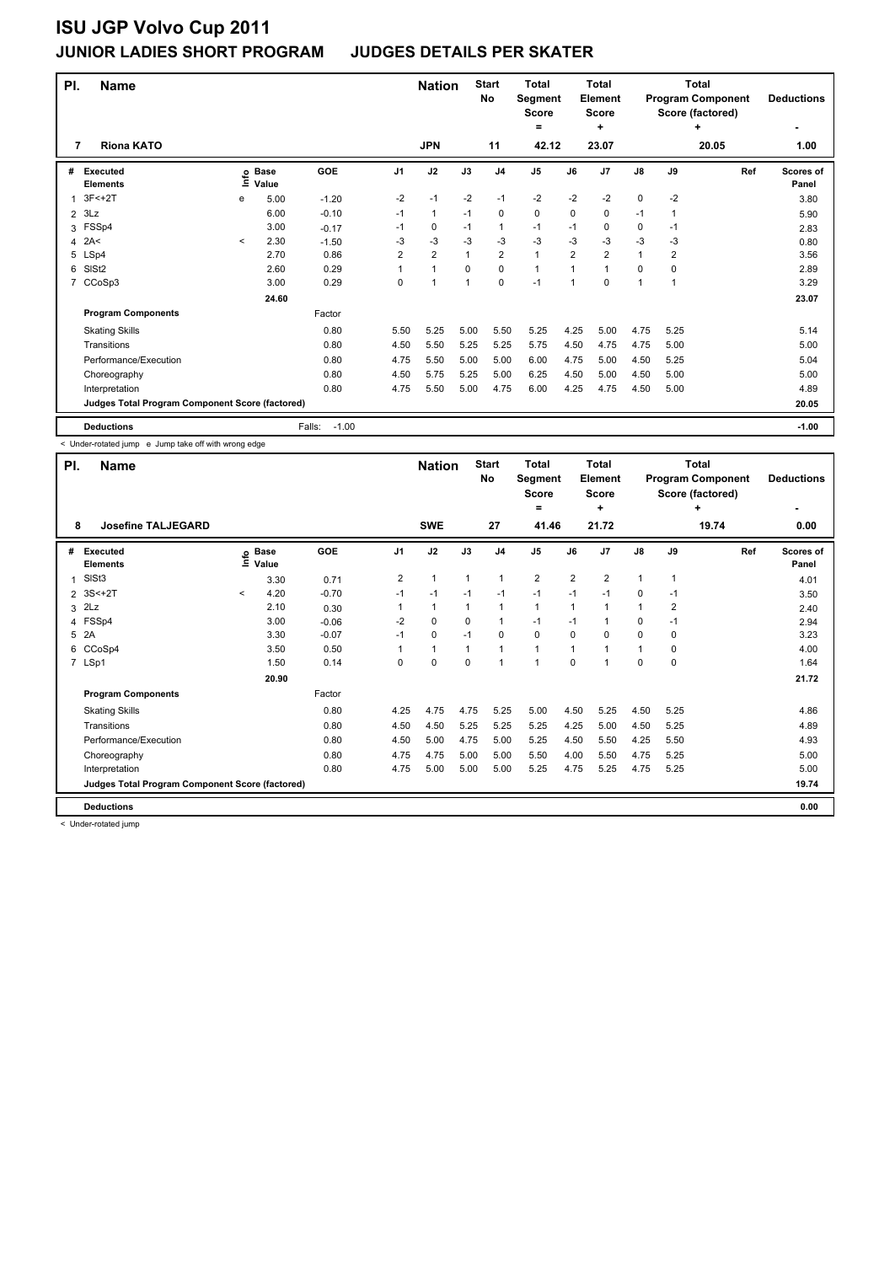| PI. | <b>Name</b><br><b>Riona KATO</b><br>7 |                                                 |                            |                   |                | <b>Nation</b>  |              | <b>Start</b><br>No | <b>Total</b><br>Segment<br><b>Score</b><br>= |                | <b>Total</b><br>Element<br><b>Score</b><br>÷ |              |                | <b>Total</b><br><b>Program Component</b><br>Score (factored)<br>٠ | <b>Deductions</b>  |
|-----|---------------------------------------|-------------------------------------------------|----------------------------|-------------------|----------------|----------------|--------------|--------------------|----------------------------------------------|----------------|----------------------------------------------|--------------|----------------|-------------------------------------------------------------------|--------------------|
|     |                                       |                                                 |                            |                   |                | <b>JPN</b>     |              | 11                 | 42.12                                        |                | 23.07                                        |              |                | 20.05                                                             | 1.00               |
| #   | Executed<br><b>Elements</b>           |                                                 | e Base<br>⊑ Value<br>Value | GOE               | J <sub>1</sub> | J2             | J3           | J <sub>4</sub>     | J <sub>5</sub>                               | J6             | J <sub>7</sub>                               | J8           | J9             | Ref                                                               | Scores of<br>Panel |
|     | $3F<+2T$                              | e                                               | 5.00                       | $-1.20$           | $-2$           | $-1$           | $-2$         | $-1$               | $-2$                                         | $-2$           | $-2$                                         | 0            | $-2$           |                                                                   | 3.80               |
| 2   | 3Lz                                   |                                                 | 6.00                       | $-0.10$           | $-1$           | $\mathbf{1}$   | $-1$         | 0                  | 0                                            | 0              | 0                                            | $-1$         | 1              |                                                                   | 5.90               |
| 3   | FSSp4                                 |                                                 | 3.00                       | $-0.17$           | $-1$           | 0              | $-1$         | 1                  | $-1$                                         | $-1$           | 0                                            | 0            | $-1$           |                                                                   | 2.83               |
| 4   | 2A<                                   | $\prec$                                         | 2.30                       | $-1.50$           | $-3$           | -3             | $-3$         | $-3$               | $-3$                                         | $-3$           | $-3$                                         | $-3$         | $-3$           |                                                                   | 0.80               |
| 5   | LSp4                                  |                                                 | 2.70                       | 0.86              | $\overline{2}$ | $\overline{2}$ | $\mathbf{1}$ | $\overline{2}$     | $\mathbf{1}$                                 | $\overline{2}$ | $\overline{2}$                               | $\mathbf{1}$ | $\overline{2}$ |                                                                   | 3.56               |
| 6   | SIS <sub>t2</sub>                     |                                                 | 2.60                       | 0.29              | 1              | $\mathbf{1}$   | 0            | $\Omega$           | 1                                            | 1              | 1                                            | 0            | 0              |                                                                   | 2.89               |
| 7   | CCoSp3                                |                                                 | 3.00                       | 0.29              | 0              | 1              | $\mathbf{1}$ | 0                  | $-1$                                         | 1              | 0                                            | 1            | 1              |                                                                   | 3.29               |
|     |                                       |                                                 | 24.60                      |                   |                |                |              |                    |                                              |                |                                              |              |                |                                                                   | 23.07              |
|     | <b>Program Components</b>             |                                                 |                            | Factor            |                |                |              |                    |                                              |                |                                              |              |                |                                                                   |                    |
|     | <b>Skating Skills</b>                 |                                                 |                            | 0.80              | 5.50           | 5.25           | 5.00         | 5.50               | 5.25                                         | 4.25           | 5.00                                         | 4.75         | 5.25           |                                                                   | 5.14               |
|     | Transitions                           |                                                 |                            | 0.80              | 4.50           | 5.50           | 5.25         | 5.25               | 5.75                                         | 4.50           | 4.75                                         | 4.75         | 5.00           |                                                                   | 5.00               |
|     | Performance/Execution                 |                                                 |                            | 0.80              | 4.75           | 5.50           | 5.00         | 5.00               | 6.00                                         | 4.75           | 5.00                                         | 4.50         | 5.25           |                                                                   | 5.04               |
|     | Choreography                          |                                                 |                            | 0.80              | 4.50           | 5.75           | 5.25         | 5.00               | 6.25                                         | 4.50           | 5.00                                         | 4.50         | 5.00           |                                                                   | 5.00               |
|     | Interpretation                        |                                                 |                            | 0.80              | 4.75           | 5.50           | 5.00         | 4.75               | 6.00                                         | 4.25           | 4.75                                         | 4.50         | 5.00           |                                                                   | 4.89               |
|     |                                       | Judges Total Program Component Score (factored) |                            |                   |                |                |              |                    |                                              |                |                                              |              |                |                                                                   | 20.05              |
|     | <b>Deductions</b>                     |                                                 |                            | $-1.00$<br>Falls: |                |                |              |                    |                                              |                |                                              |              |                |                                                                   | $-1.00$            |

< Under-rotated jump e Jump take off with wrong edge

| PI.            | <b>Name</b><br>8                                |         |                            |         |                | <b>Nation</b> |              | <b>Start</b><br>No | <b>Total</b><br>Segment<br><b>Score</b><br>= |                | <b>Total</b><br>Element<br><b>Score</b><br>٠ |               |                | Total<br><b>Program Component</b><br>Score (factored)<br>٠ | <b>Deductions</b>  |
|----------------|-------------------------------------------------|---------|----------------------------|---------|----------------|---------------|--------------|--------------------|----------------------------------------------|----------------|----------------------------------------------|---------------|----------------|------------------------------------------------------------|--------------------|
|                | <b>Josefine TALJEGARD</b>                       |         |                            |         |                | <b>SWE</b>    |              | 27                 | 41.46                                        |                | 21.72                                        |               |                | 19.74                                                      | 0.00               |
| #              | <b>Executed</b><br><b>Elements</b>              |         | © Base<br>E Value<br>Value | GOE     | J <sub>1</sub> | J2            | J3           | J <sub>4</sub>     | J <sub>5</sub>                               | J6             | J7                                           | $\mathsf{J}8$ | J9             | Ref                                                        | Scores of<br>Panel |
| 1              | SISt <sub>3</sub>                               |         | 3.30                       | 0.71    | $\overline{2}$ | $\mathbf{1}$  | $\mathbf{1}$ | $\mathbf{1}$       | $\overline{2}$                               | $\overline{2}$ | $\overline{2}$                               | $\mathbf{1}$  | $\mathbf{1}$   |                                                            | 4.01               |
| $\overline{2}$ | $3S<+2T$                                        | $\prec$ | 4.20                       | $-0.70$ | $-1$           | $-1$          | $-1$         | $-1$               | $-1$                                         | $-1$           | $-1$                                         | 0             | $-1$           |                                                            | 3.50               |
| 3              | 2Lz                                             |         | 2.10                       | 0.30    |                | $\mathbf{1}$  | 1            | $\mathbf{1}$       | $\mathbf{1}$                                 | 1              |                                              | $\mathbf{1}$  | $\overline{2}$ |                                                            | 2.40               |
|                | 4 FSSp4                                         |         | 3.00                       | $-0.06$ | $-2$           | $\mathbf 0$   | 0            | $\mathbf{1}$       | $-1$                                         | $-1$           |                                              | 0             | $-1$           |                                                            | 2.94               |
| 5              | 2A                                              |         | 3.30                       | $-0.07$ | $-1$           | 0             | $-1$         | 0                  | 0                                            | $\Omega$       | $\Omega$                                     | 0             | 0              |                                                            | 3.23               |
| 6              | CCoSp4                                          |         | 3.50                       | 0.50    |                | $\mathbf{1}$  | $\mathbf{1}$ | $\overline{1}$     | $\overline{1}$                               | 1              |                                              | $\mathbf{1}$  | 0              |                                                            | 4.00               |
|                | 7 LSp1                                          |         | 1.50                       | 0.14    | 0              | $\pmb{0}$     | $\Omega$     | $\overline{ }$     | $\overline{1}$                               | $\Omega$       |                                              | $\Omega$      | 0              |                                                            | 1.64               |
|                |                                                 |         | 20.90                      |         |                |               |              |                    |                                              |                |                                              |               |                |                                                            | 21.72              |
|                | <b>Program Components</b>                       |         |                            | Factor  |                |               |              |                    |                                              |                |                                              |               |                |                                                            |                    |
|                | <b>Skating Skills</b>                           |         |                            | 0.80    | 4.25           | 4.75          | 4.75         | 5.25               | 5.00                                         | 4.50           | 5.25                                         | 4.50          | 5.25           |                                                            | 4.86               |
|                | Transitions                                     |         |                            | 0.80    | 4.50           | 4.50          | 5.25         | 5.25               | 5.25                                         | 4.25           | 5.00                                         | 4.50          | 5.25           |                                                            | 4.89               |
|                | Performance/Execution                           |         |                            | 0.80    | 4.50           | 5.00          | 4.75         | 5.00               | 5.25                                         | 4.50           | 5.50                                         | 4.25          | 5.50           |                                                            | 4.93               |
|                | Choreography                                    |         |                            | 0.80    | 4.75           | 4.75          | 5.00         | 5.00               | 5.50                                         | 4.00           | 5.50                                         | 4.75          | 5.25           |                                                            | 5.00               |
|                | Interpretation                                  |         |                            | 0.80    | 4.75           | 5.00          | 5.00         | 5.00               | 5.25                                         | 4.75           | 5.25                                         | 4.75          | 5.25           |                                                            | 5.00               |
|                | Judges Total Program Component Score (factored) |         |                            |         |                |               |              |                    |                                              |                |                                              |               |                |                                                            | 19.74              |
|                | <b>Deductions</b>                               |         |                            |         |                |               |              |                    |                                              |                |                                              |               |                |                                                            | 0.00               |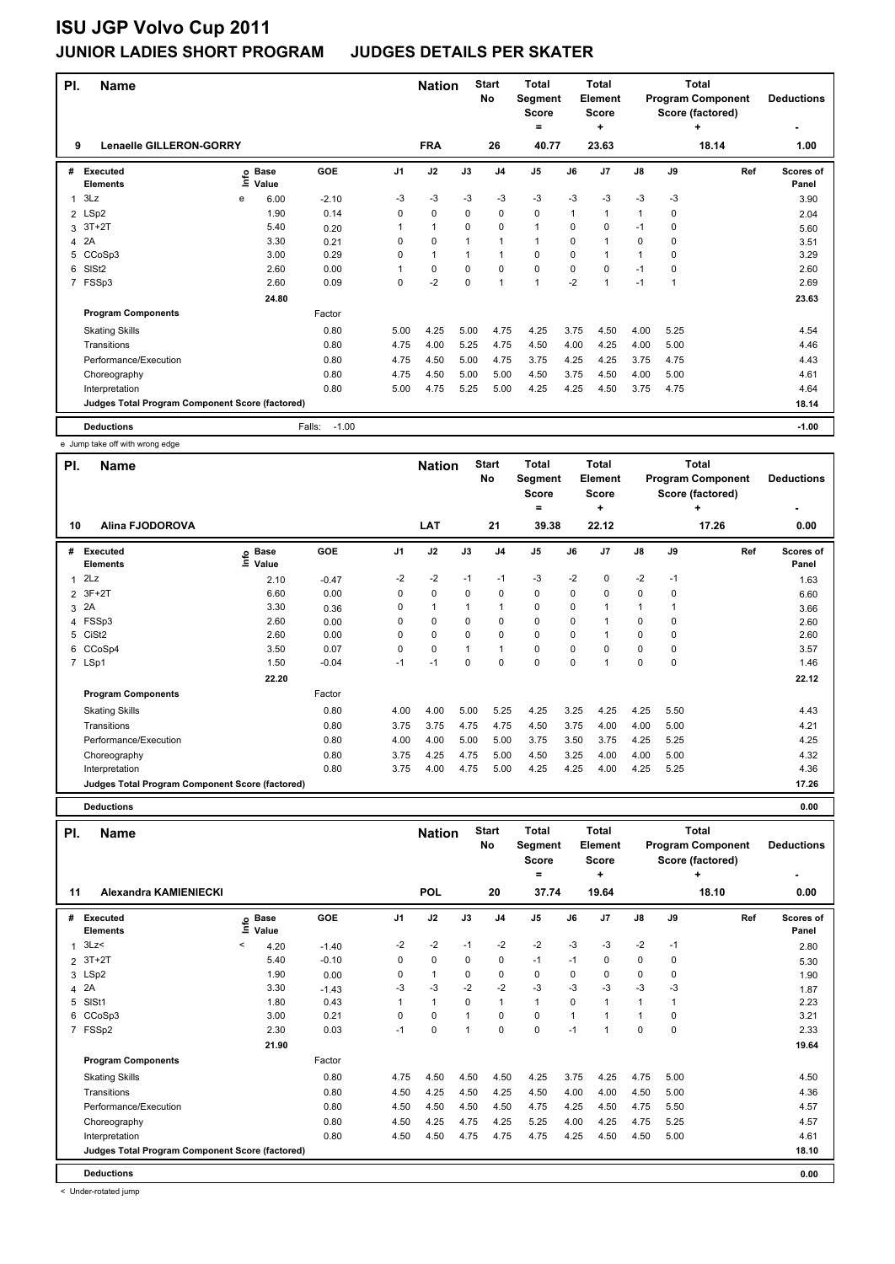| PI. | <b>Name</b>                                     |   |                            |                   |                | <b>Nation</b> |              | <b>Start</b><br>No | <b>Total</b><br>Segment<br><b>Score</b><br>$=$ |          | Total<br><b>Element</b><br>Score<br>÷ |              | <b>Total</b><br><b>Program Component</b><br>Score (factored) | <b>Deductions</b> |                           |
|-----|-------------------------------------------------|---|----------------------------|-------------------|----------------|---------------|--------------|--------------------|------------------------------------------------|----------|---------------------------------------|--------------|--------------------------------------------------------------|-------------------|---------------------------|
| 9   | <b>Lenaelle GILLERON-GORRY</b>                  |   |                            |                   |                | <b>FRA</b>    |              | 26                 | 40.77                                          |          | 23.63                                 |              |                                                              | 18.14             | 1.00                      |
| #   | <b>Executed</b><br><b>Elements</b>              |   | e Base<br>⊑ Value<br>Value | GOE               | J <sub>1</sub> | J2            | J3           | J <sub>4</sub>     | J <sub>5</sub>                                 | J6       | J <sub>7</sub>                        | J8           | J9                                                           | Ref               | <b>Scores of</b><br>Panel |
| 1   | 3Lz                                             | e | 6.00                       | $-2.10$           | -3             | $-3$          | $-3$         | $-3$               | $-3$                                           | $-3$     | $-3$                                  | $-3$         | $-3$                                                         |                   | 3.90                      |
|     | 2 LSp2                                          |   | 1.90                       | 0.14              | $\Omega$       | $\mathbf 0$   | $\Omega$     | $\mathbf 0$        | 0                                              | 1        | $\mathbf{1}$                          | 1            | 0                                                            |                   | 2.04                      |
| 3   | $3T+2T$                                         |   | 5.40                       | 0.20              |                | $\mathbf{1}$  | 0            | 0                  | 1                                              | 0        | 0                                     | $-1$         | 0                                                            |                   | 5.60                      |
|     | 4 2A                                            |   | 3.30                       | 0.21              | 0              | 0             | 1            | -1                 | 1                                              | 0        | $\mathbf 1$                           | 0            | 0                                                            |                   | 3.51                      |
| 5   | CCoSp3                                          |   | 3.00                       | 0.29              | $\Omega$       | $\mathbf{1}$  | $\mathbf{1}$ | $\overline{1}$     | $\Omega$                                       | 0        | 1                                     | $\mathbf{1}$ | $\Omega$                                                     |                   | 3.29                      |
| 6   | SISt <sub>2</sub>                               |   | 2.60                       | 0.00              |                | 0             | $\Omega$     | $\mathbf 0$        | 0                                              | $\Omega$ | $\Omega$                              | $-1$         | 0                                                            |                   | 2.60                      |
|     | 7 FSSp3                                         |   | 2.60                       | 0.09              | $\Omega$       | $-2$          | $\Omega$     | $\overline{1}$     | 1                                              | $-2$     | 1                                     | $-1$         | 1                                                            |                   | 2.69                      |
|     |                                                 |   | 24.80                      |                   |                |               |              |                    |                                                |          |                                       |              |                                                              |                   | 23.63                     |
|     | <b>Program Components</b>                       |   |                            | Factor            |                |               |              |                    |                                                |          |                                       |              |                                                              |                   |                           |
|     | <b>Skating Skills</b>                           |   |                            | 0.80              | 5.00           | 4.25          | 5.00         | 4.75               | 4.25                                           | 3.75     | 4.50                                  | 4.00         | 5.25                                                         |                   | 4.54                      |
|     | Transitions                                     |   |                            | 0.80              | 4.75           | 4.00          | 5.25         | 4.75               | 4.50                                           | 4.00     | 4.25                                  | 4.00         | 5.00                                                         |                   | 4.46                      |
|     | Performance/Execution                           |   |                            | 0.80              | 4.75           | 4.50          | 5.00         | 4.75               | 3.75                                           | 4.25     | 4.25                                  | 3.75         | 4.75                                                         |                   | 4.43                      |
|     | Choreography                                    |   |                            | 0.80              | 4.75           | 4.50          | 5.00         | 5.00               | 4.50                                           | 3.75     | 4.50                                  | 4.00         | 5.00                                                         |                   | 4.61                      |
|     | Interpretation                                  |   |                            | 0.80              | 5.00           | 4.75          | 5.25         | 5.00               | 4.25                                           | 4.25     | 4.50                                  | 3.75         | 4.75                                                         |                   | 4.64                      |
|     | Judges Total Program Component Score (factored) |   |                            |                   |                |               |              |                    |                                                |          |                                       | 18.14        |                                                              |                   |                           |
|     | <b>Deductions</b>                               |   |                            | Falls:<br>$-1.00$ |                |               |              |                    |                                                |          |                                       |              |                                                              |                   | $-1.00$                   |

e Jump take off with wrong edge

| PI.            | <b>Name</b>                                     |                              |         |                | <b>Nation</b>  |      | <b>Start</b><br>No | <b>Total</b><br>Segment<br><b>Score</b><br>۰ |          | <b>Total</b><br>Element<br><b>Score</b><br>٠ |                |      | <b>Total</b><br><b>Program Component</b><br>Score (factored)<br>٠ | <b>Deductions</b>  |
|----------------|-------------------------------------------------|------------------------------|---------|----------------|----------------|------|--------------------|----------------------------------------------|----------|----------------------------------------------|----------------|------|-------------------------------------------------------------------|--------------------|
| 10             | <b>Alina FJODOROVA</b>                          |                              |         |                | LAT            |      | 21                 | 39.38                                        |          | 22.12                                        |                |      | 17.26                                                             | 0.00               |
| #              | <b>Executed</b><br><b>Elements</b>              | <b>Base</b><br>١mfo<br>Value | GOE     | J <sub>1</sub> | J2             | J3   | J <sub>4</sub>     | J <sub>5</sub>                               | J6       | J <sub>7</sub>                               | $\mathsf{J}8$  | J9   | Ref                                                               | Scores of<br>Panel |
| 1              | 2Lz                                             | 2.10                         | $-0.47$ | $-2$           | $-2$           | $-1$ | $-1$               | $-3$                                         | $-2$     | 0                                            | $-2$           | $-1$ |                                                                   | 1.63               |
| $\overline{2}$ | $3F+2T$                                         | 6.60                         | 0.00    | 0              | $\mathbf 0$    | 0    | 0                  | 0                                            | 0        | 0                                            | 0              | 0    |                                                                   | 6.60               |
|                | 3 2A                                            | 3.30                         | 0.36    | 0              | $\overline{1}$ | 1    | 1                  | $\mathbf 0$                                  | 0        |                                              | $\overline{1}$ |      |                                                                   | 3.66               |
|                | 4 FSSp3                                         | 2.60                         | 0.00    | 0              | 0              | 0    | 0                  | 0                                            | 0        |                                              | 0              | 0    |                                                                   | 2.60               |
| 5              | CiSt <sub>2</sub>                               | 2.60                         | 0.00    | 0              | $\mathbf 0$    | 0    | $\Omega$           | $\mathbf 0$                                  | $\Omega$ |                                              | 0              | 0    |                                                                   | 2.60               |
| 6              | CCoSp4                                          | 3.50                         | 0.07    | 0              | $\mathbf 0$    | 1    | $\overline{1}$     | $\mathbf 0$                                  | 0        | 0                                            | 0              | 0    |                                                                   | 3.57               |
|                | 7 LSp1                                          | 1.50                         | $-0.04$ | $-1$           | -1             | 0    | 0                  | 0                                            | 0        |                                              | 0              | 0    |                                                                   | 1.46               |
|                |                                                 | 22.20                        |         |                |                |      |                    |                                              |          |                                              |                |      |                                                                   | 22.12              |
|                | <b>Program Components</b>                       |                              | Factor  |                |                |      |                    |                                              |          |                                              |                |      |                                                                   |                    |
|                | <b>Skating Skills</b>                           |                              | 0.80    | 4.00           | 4.00           | 5.00 | 5.25               | 4.25                                         | 3.25     | 4.25                                         | 4.25           | 5.50 |                                                                   | 4.43               |
|                | Transitions                                     |                              | 0.80    | 3.75           | 3.75           | 4.75 | 4.75               | 4.50                                         | 3.75     | 4.00                                         | 4.00           | 5.00 |                                                                   | 4.21               |
|                | Performance/Execution                           |                              | 0.80    | 4.00           | 4.00           | 5.00 | 5.00               | 3.75                                         | 3.50     | 3.75                                         | 4.25           | 5.25 |                                                                   | 4.25               |
|                | Choreography                                    |                              | 0.80    | 3.75           | 4.25           | 4.75 | 5.00               | 4.50                                         | 3.25     | 4.00                                         | 4.00           | 5.00 |                                                                   | 4.32               |
|                | Interpretation                                  |                              | 0.80    | 3.75           | 4.00           | 4.75 | 5.00               | 4.25                                         | 4.25     | 4.00                                         | 4.25           | 5.25 |                                                                   | 4.36               |
|                | Judges Total Program Component Score (factored) |                              |         |                |                |      |                    |                                              |          |                                              |                |      |                                                                   | 17.26              |

**Deductions 0.00**

| PI. | <b>Name</b>                                     |         |                                    |         |                | <b>Nation</b> |          | <b>Start</b><br>No | <b>Total</b><br>Segment<br><b>Score</b><br>= |              | <b>Total</b><br>Element<br>Score<br>٠ |               |      | <b>Total</b><br><b>Program Component</b><br>Score (factored)<br>٠ | <b>Deductions</b>  |
|-----|-------------------------------------------------|---------|------------------------------------|---------|----------------|---------------|----------|--------------------|----------------------------------------------|--------------|---------------------------------------|---------------|------|-------------------------------------------------------------------|--------------------|
| 11  | <b>Alexandra KAMIENIECKI</b>                    |         |                                    |         |                | <b>POL</b>    |          | 20                 | 37.74                                        |              | 19.64                                 |               |      | 18.10                                                             | 0.00               |
| #   | Executed<br><b>Elements</b>                     |         | $\overset{\circ}{=}$ Pase<br>Value | GOE     | J <sub>1</sub> | J2            | J3       | J <sub>4</sub>     | J <sub>5</sub>                               | J6           | J7                                    | $\mathsf{J}8$ | J9   | Ref                                                               | Scores of<br>Panel |
|     | 3Lz                                             | $\prec$ | 4.20                               | $-1.40$ | $-2$           | $-2$          | $-1$     | $-2$               | $-2$                                         | $-3$         | $-3$                                  | $-2$          | $-1$ |                                                                   | 2.80               |
| 2   | $3T+2T$                                         |         | 5.40                               | $-0.10$ | 0              | 0             | 0        | 0                  | $-1$                                         | $-1$         | 0                                     | 0             | 0    |                                                                   | 5.30               |
|     | 3 LSp2                                          |         | 1.90                               | 0.00    | 0              | $\mathbf{1}$  | 0        | 0                  | 0                                            | 0            | 0                                     | 0             | 0    |                                                                   | 1.90               |
| 4   | 2A                                              |         | 3.30                               | $-1.43$ | $-3$           | $-3$          | $-2$     | $-2$               | $-3$                                         | $-3$         | $-3$                                  | $-3$          | $-3$ |                                                                   | 1.87               |
| 5   | SISt1                                           |         | 1.80                               | 0.43    | 1              | $\mathbf{1}$  | $\Omega$ | $\mathbf{1}$       | $\mathbf{1}$                                 | $\Omega$     | 1                                     | $\mathbf{1}$  |      |                                                                   | 2.23               |
| 6   | CCoSp3                                          |         | 3.00                               | 0.21    | 0              | 0             | 1        | 0                  | 0                                            | $\mathbf{1}$ |                                       | 1             | 0    |                                                                   | 3.21               |
|     | 7 FSSp2                                         |         | 2.30                               | 0.03    | $-1$           | 0             | 1        | 0                  | 0                                            | $-1$         | 1                                     | $\mathbf 0$   | 0    |                                                                   | 2.33               |
|     |                                                 |         | 21.90                              |         |                |               |          |                    |                                              |              |                                       |               |      |                                                                   | 19.64              |
|     | <b>Program Components</b>                       |         |                                    | Factor  |                |               |          |                    |                                              |              |                                       |               |      |                                                                   |                    |
|     | <b>Skating Skills</b>                           |         |                                    | 0.80    | 4.75           | 4.50          | 4.50     | 4.50               | 4.25                                         | 3.75         | 4.25                                  | 4.75          | 5.00 |                                                                   | 4.50               |
|     | Transitions                                     |         |                                    | 0.80    | 4.50           | 4.25          | 4.50     | 4.25               | 4.50                                         | 4.00         | 4.00                                  | 4.50          | 5.00 |                                                                   | 4.36               |
|     | Performance/Execution                           |         |                                    | 0.80    | 4.50           | 4.50          | 4.50     | 4.50               | 4.75                                         | 4.25         | 4.50                                  | 4.75          | 5.50 |                                                                   | 4.57               |
|     | Choreography                                    |         |                                    | 0.80    | 4.50           | 4.25          | 4.75     | 4.25               | 5.25                                         | 4.00         | 4.25                                  | 4.75          | 5.25 |                                                                   | 4.57               |
|     | Interpretation                                  |         |                                    | 0.80    | 4.50           | 4.50          | 4.75     | 4.75               | 4.75                                         | 4.25         | 4.50                                  | 4.50          | 5.00 |                                                                   | 4.61               |
|     | Judges Total Program Component Score (factored) |         |                                    |         |                |               |          |                    |                                              |              |                                       |               |      |                                                                   | 18.10              |
|     | <b>Deductions</b>                               |         |                                    |         |                |               |          |                    |                                              |              |                                       |               |      |                                                                   | 0.00               |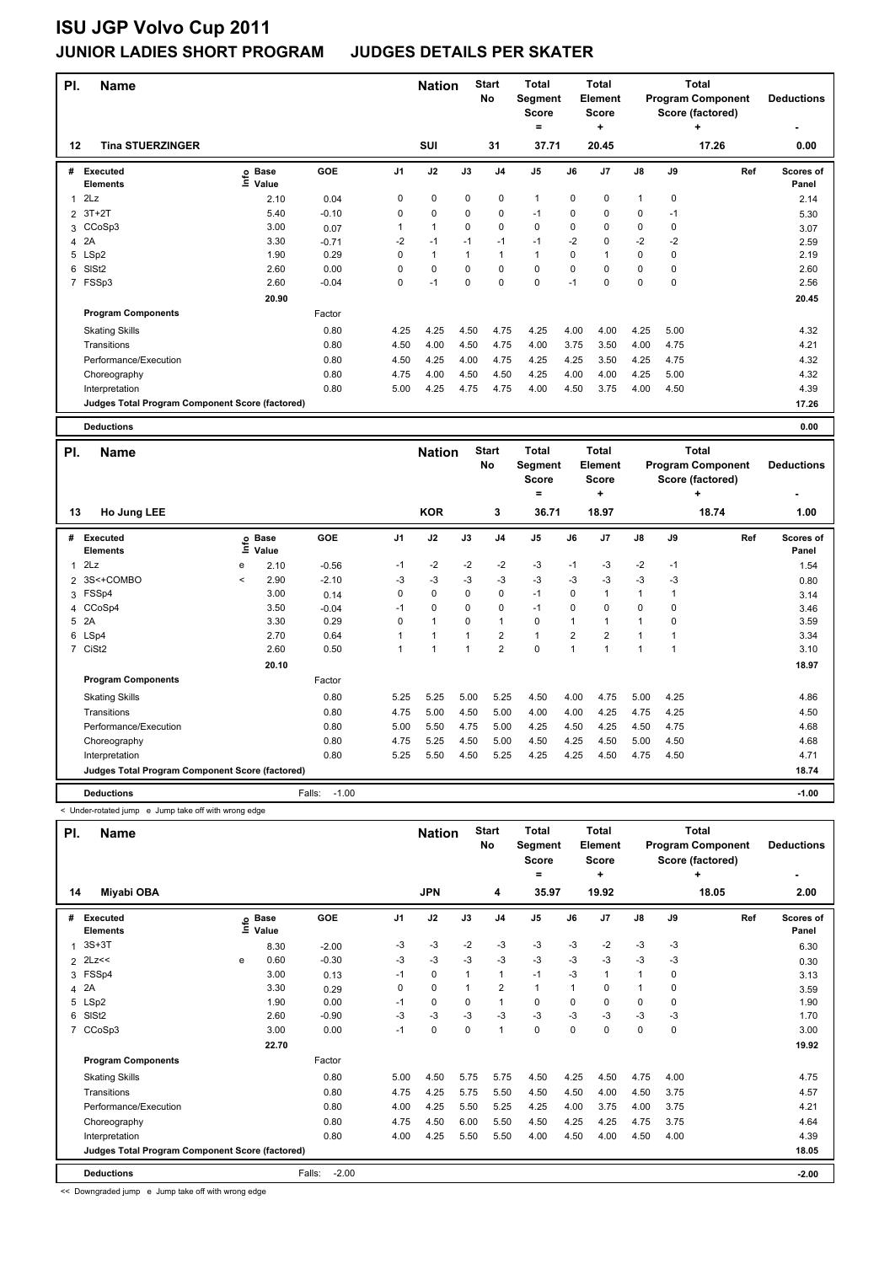| PI.            | <b>Name</b>                                     |                              |         |      | <b>Nation</b> |             | <b>Start</b><br>No | <b>Total</b><br>Segment<br><b>Score</b><br>۰ |             | <b>Total</b><br>Element<br><b>Score</b><br>٠ | <b>Total</b><br><b>Program Component</b><br>Score (factored)<br>٠<br>17.26 |      |                                          | <b>Deductions</b>         |
|----------------|-------------------------------------------------|------------------------------|---------|------|---------------|-------------|--------------------|----------------------------------------------|-------------|----------------------------------------------|----------------------------------------------------------------------------|------|------------------------------------------|---------------------------|
| 12             | <b>Tina STUERZINGER</b>                         |                              |         |      | SUI           |             | 31                 | 37.71                                        |             | 20.45                                        |                                                                            |      |                                          | 0.00                      |
| #              | Executed<br><b>Elements</b>                     | <b>Base</b><br>١nfo<br>Value | GOE     | J1   | J2            | J3          | J <sub>4</sub>     | J <sub>5</sub>                               | J6          | J7                                           | $\mathsf{J}8$                                                              | J9   | Ref                                      | <b>Scores of</b><br>Panel |
|                | 2Lz                                             | 2.10                         | 0.04    | 0    | $\mathbf 0$   | $\mathbf 0$ | $\mathbf 0$        | $\mathbf{1}$                                 | $\mathbf 0$ | $\mathbf 0$                                  | $\mathbf{1}$                                                               | 0    |                                          | 2.14                      |
| $\overline{2}$ | $3T+2T$                                         | 5.40                         | $-0.10$ | 0    | 0             | 0           | 0                  | $-1$                                         | 0           | 0                                            | 0                                                                          | $-1$ |                                          | 5.30                      |
|                | 3 CCoSp3                                        | 3.00                         | 0.07    | 1    | $\mathbf{1}$  | 0           | 0                  | 0                                            | 0           | 0                                            | 0                                                                          | 0    |                                          | 3.07                      |
| 4              | 2A                                              | 3.30                         | $-0.71$ | $-2$ | $-1$          | $-1$        | $-1$               | $-1$                                         | $-2$        | $\Omega$                                     | $-2$                                                                       | -2   |                                          | 2.59                      |
| 5              | LSp2                                            | 1.90                         | 0.29    | 0    | $\mathbf{1}$  | 1           | $\overline{1}$     | $\mathbf{1}$                                 | 0           |                                              | 0                                                                          | 0    |                                          | 2.19                      |
| 6              | SISt <sub>2</sub>                               | 2.60                         | 0.00    | 0    | $\Omega$      | $\Omega$    | 0                  | 0                                            | 0           | 0                                            | 0                                                                          | 0    |                                          | 2.60                      |
|                | 7 FSSp3                                         | 2.60                         | $-0.04$ | 0    | $-1$          | 0           | 0                  | $\pmb{0}$                                    | $-1$        | $\Omega$                                     | $\mathbf 0$                                                                | 0    |                                          | 2.56                      |
|                |                                                 | 20.90                        |         |      |               |             |                    |                                              |             |                                              |                                                                            |      |                                          | 20.45                     |
|                | <b>Program Components</b>                       |                              | Factor  |      |               |             |                    |                                              |             |                                              |                                                                            |      |                                          |                           |
|                | <b>Skating Skills</b>                           |                              | 0.80    | 4.25 | 4.25          | 4.50        | 4.75               | 4.25                                         | 4.00        | 4.00                                         | 4.25                                                                       | 5.00 |                                          | 4.32                      |
|                | Transitions                                     |                              | 0.80    | 4.50 | 4.00          | 4.50        | 4.75               | 4.00                                         | 3.75        | 3.50                                         | 4.00                                                                       | 4.75 |                                          | 4.21                      |
|                | Performance/Execution                           |                              | 0.80    | 4.50 | 4.25          | 4.00        | 4.75               | 4.25                                         | 4.25        | 3.50                                         | 4.25                                                                       | 4.75 |                                          | 4.32                      |
|                | Choreography                                    |                              | 0.80    | 4.75 | 4.00          | 4.50        | 4.50               | 4.25                                         | 4.00        | 4.00                                         | 4.25                                                                       | 5.00 |                                          | 4.32                      |
|                | Interpretation                                  |                              | 0.80    | 5.00 | 4.25          | 4.75        | 4.75               | 4.00                                         | 4.50        | 3.75                                         | 4.00                                                                       | 4.50 |                                          | 4.39                      |
|                | Judges Total Program Component Score (factored) |                              |         |      |               |             |                    |                                              |             |                                              |                                                                            |      |                                          | 17.26                     |
|                | <b>Deductions</b>                               |                              |         |      |               |             |                    |                                              |             |                                              |                                                                            |      |                                          | 0.00                      |
| PI.            | <b>Name</b>                                     |                              |         |      | <b>Nation</b> |             | <b>Start</b><br>No | <b>Total</b><br><b>Segment</b>               |             | <b>Total</b><br>Element                      |                                                                            |      | <b>Total</b><br><b>Program Component</b> | <b>Deductions</b>         |

|    |                                                 |         |                      |                   |                |              |          | <b>No</b>      | Segment<br>Score<br>= |                | Element<br><b>Score</b><br>٠ |               |      | <b>Program Component</b><br>Score (factored)<br>٠ | <b>Deductions</b>         |
|----|-------------------------------------------------|---------|----------------------|-------------------|----------------|--------------|----------|----------------|-----------------------|----------------|------------------------------|---------------|------|---------------------------------------------------|---------------------------|
| 13 | Ho Jung LEE                                     |         |                      |                   |                | <b>KOR</b>   |          | 3              | 36.71                 |                | 18.97                        |               |      | 18.74                                             | 1.00                      |
| #  | Executed<br><b>Elements</b>                     | ۴ů      | <b>Base</b><br>Value | GOE               | J <sub>1</sub> | J2           | J3       | J <sub>4</sub> | J <sub>5</sub>        | J6             | J <sub>7</sub>               | $\mathsf{J}8$ | J9   | Ref                                               | <b>Scores of</b><br>Panel |
|    | $1$ $2Lz$                                       | e       | 2.10                 | $-0.56$           | $-1$           | $-2$         | $-2$     | $-2$           | $-3$                  | $-1$           | $-3$                         | $-2$          | $-1$ |                                                   | 1.54                      |
|    | 2 3S<+COMBO                                     | $\prec$ | 2.90                 | $-2.10$           | $-3$           | $-3$         | $-3$     | $-3$           | $-3$                  | $-3$           | $-3$                         | $-3$          | -3   |                                                   | 0.80                      |
|    | 3 FSSp4                                         |         | 3.00                 | 0.14              | 0              | 0            | 0        | 0              | $-1$                  | 0              |                              | 1             |      |                                                   | 3.14                      |
|    | 4 CCoSp4                                        |         | 3.50                 | $-0.04$           | $-1$           | 0            | $\Omega$ | 0              | $-1$                  | 0              | $\Omega$                     | $\Omega$      | 0    |                                                   | 3.46                      |
|    | 5 2A                                            |         | 3.30                 | 0.29              | $\Omega$       | $\mathbf{1}$ | $\Omega$ | $\mathbf{1}$   | $\mathbf 0$           |                |                              | 1             | 0    |                                                   | 3.59                      |
|    | 6 LSp4                                          |         | 2.70                 | 0.64              |                |              |          | $\overline{2}$ | $\mathbf{1}$          | $\overline{2}$ | $\overline{2}$               |               |      |                                                   | 3.34                      |
|    | 7 CiSt2                                         |         | 2.60                 | 0.50              |                |              |          | $\overline{2}$ | 0                     | 1              | 1                            | 1             |      |                                                   | 3.10                      |
|    |                                                 |         | 20.10                |                   |                |              |          |                |                       |                |                              |               |      |                                                   | 18.97                     |
|    | <b>Program Components</b>                       |         |                      | Factor            |                |              |          |                |                       |                |                              |               |      |                                                   |                           |
|    | <b>Skating Skills</b>                           |         |                      | 0.80              | 5.25           | 5.25         | 5.00     | 5.25           | 4.50                  | 4.00           | 4.75                         | 5.00          | 4.25 |                                                   | 4.86                      |
|    | Transitions                                     |         |                      | 0.80              | 4.75           | 5.00         | 4.50     | 5.00           | 4.00                  | 4.00           | 4.25                         | 4.75          | 4.25 |                                                   | 4.50                      |
|    | Performance/Execution                           |         |                      | 0.80              | 5.00           | 5.50         | 4.75     | 5.00           | 4.25                  | 4.50           | 4.25                         | 4.50          | 4.75 |                                                   | 4.68                      |
|    | Choreography                                    |         |                      | 0.80              | 4.75           | 5.25         | 4.50     | 5.00           | 4.50                  | 4.25           | 4.50                         | 5.00          | 4.50 |                                                   | 4.68                      |
|    | Interpretation                                  |         |                      | 0.80              | 5.25           | 5.50         | 4.50     | 5.25           | 4.25                  | 4.25           | 4.50                         | 4.75          | 4.50 |                                                   | 4.71                      |
|    | Judges Total Program Component Score (factored) |         |                      |                   |                |              |          |                |                       |                |                              |               |      |                                                   | 18.74                     |
|    | <b>Deductions</b>                               |         |                      | $-1.00$<br>Falls: |                |              |          |                |                       |                |                              |               |      |                                                   | $-1.00$                   |

< Under-rotated jump e Jump take off with wrong edge

| PI.          | Name                                            |      |                      |                   |                | <b>Nation</b> |             | <b>Start</b><br>No | <b>Total</b><br>Segment<br>Score<br>٠ |          | <b>Total</b><br>Element<br><b>Score</b><br>٠ |               |             | <b>Total</b><br><b>Program Component</b><br>Score (factored)<br>٠ | <b>Deductions</b><br>٠ |
|--------------|-------------------------------------------------|------|----------------------|-------------------|----------------|---------------|-------------|--------------------|---------------------------------------|----------|----------------------------------------------|---------------|-------------|-------------------------------------------------------------------|------------------------|
| 14           | Miyabi OBA                                      |      |                      |                   |                | <b>JPN</b>    |             | 4                  | 35.97                                 |          | 19.92                                        |               |             | 18.05                                                             | 2.00                   |
| #            | <b>Executed</b><br><b>Elements</b>              | lnfo | <b>Base</b><br>Value | GOE               | J <sub>1</sub> | J2            | J3          | J <sub>4</sub>     | J <sub>5</sub>                        | J6       | J7                                           | $\mathsf{J}8$ | J9          | Ref                                                               | Scores of<br>Panel     |
| $\mathbf{1}$ | $3S+3T$                                         |      | 8.30                 | $-2.00$           | -3             | $-3$          | $-2$        | -3                 | $-3$                                  | $-3$     | $-2$                                         | $-3$          | $-3$        |                                                                   | 6.30                   |
|              | $2$ $2$ $Lz <$                                  | e    | 0.60                 | $-0.30$           | -3             | $-3$          | $-3$        | $-3$               | $-3$                                  | $-3$     | $-3$                                         | $-3$          | $-3$        |                                                                   | 0.30                   |
|              | 3 FSSp4                                         |      | 3.00                 | 0.13              | $-1$           | $\mathbf 0$   |             | $\mathbf{1}$       | $-1$                                  | $-3$     | 1                                            | 1             | 0           |                                                                   | 3.13                   |
| 4            | 2A                                              |      | 3.30                 | 0.29              | 0              | $\mathbf 0$   |             | $\overline{2}$     | $\mathbf{1}$                          | 1        | 0                                            | $\mathbf{1}$  | 0           |                                                                   | 3.59                   |
| 5            | LSp2                                            |      | 1.90                 | 0.00              | $-1$           | 0             | 0           | 1                  | $\mathbf 0$                           | $\Omega$ | $\Omega$                                     | 0             | 0           |                                                                   | 1.90                   |
| 6            | SIS <sub>t2</sub>                               |      | 2.60                 | $-0.90$           | -3             | $-3$          | -3          | -3                 | $-3$                                  | $-3$     | $-3$                                         | $-3$          | $-3$        |                                                                   | 1.70                   |
| 7            | CCoSp3                                          |      | 3.00                 | 0.00              | $-1$           | $\pmb{0}$     | $\mathbf 0$ | $\mathbf{1}$       | $\mathbf 0$                           | 0        | 0                                            | 0             | $\mathbf 0$ |                                                                   | 3.00                   |
|              |                                                 |      | 22.70                |                   |                |               |             |                    |                                       |          |                                              |               |             |                                                                   | 19.92                  |
|              | <b>Program Components</b>                       |      |                      | Factor            |                |               |             |                    |                                       |          |                                              |               |             |                                                                   |                        |
|              | <b>Skating Skills</b>                           |      |                      | 0.80              | 5.00           | 4.50          | 5.75        | 5.75               | 4.50                                  | 4.25     | 4.50                                         | 4.75          | 4.00        |                                                                   | 4.75                   |
|              | Transitions                                     |      |                      | 0.80              | 4.75           | 4.25          | 5.75        | 5.50               | 4.50                                  | 4.50     | 4.00                                         | 4.50          | 3.75        |                                                                   | 4.57                   |
|              | Performance/Execution                           |      |                      | 0.80              | 4.00           | 4.25          | 5.50        | 5.25               | 4.25                                  | 4.00     | 3.75                                         | 4.00          | 3.75        |                                                                   | 4.21                   |
|              | Choreography                                    |      |                      | 0.80              | 4.75           | 4.50          | 6.00        | 5.50               | 4.50                                  | 4.25     | 4.25                                         | 4.75          | 3.75        |                                                                   | 4.64                   |
|              | Interpretation                                  |      |                      | 0.80              | 4.00           | 4.25          | 5.50        | 5.50               | 4.00                                  | 4.50     | 4.00                                         | 4.50          | 4.00        |                                                                   | 4.39                   |
|              | Judges Total Program Component Score (factored) |      |                      |                   |                |               |             |                    |                                       |          |                                              |               |             |                                                                   | 18.05                  |
|              | <b>Deductions</b>                               |      |                      | $-2.00$<br>Falls: |                |               |             |                    |                                       |          |                                              |               |             |                                                                   | $-2.00$                |

<< Downgraded jump e Jump take off with wrong edge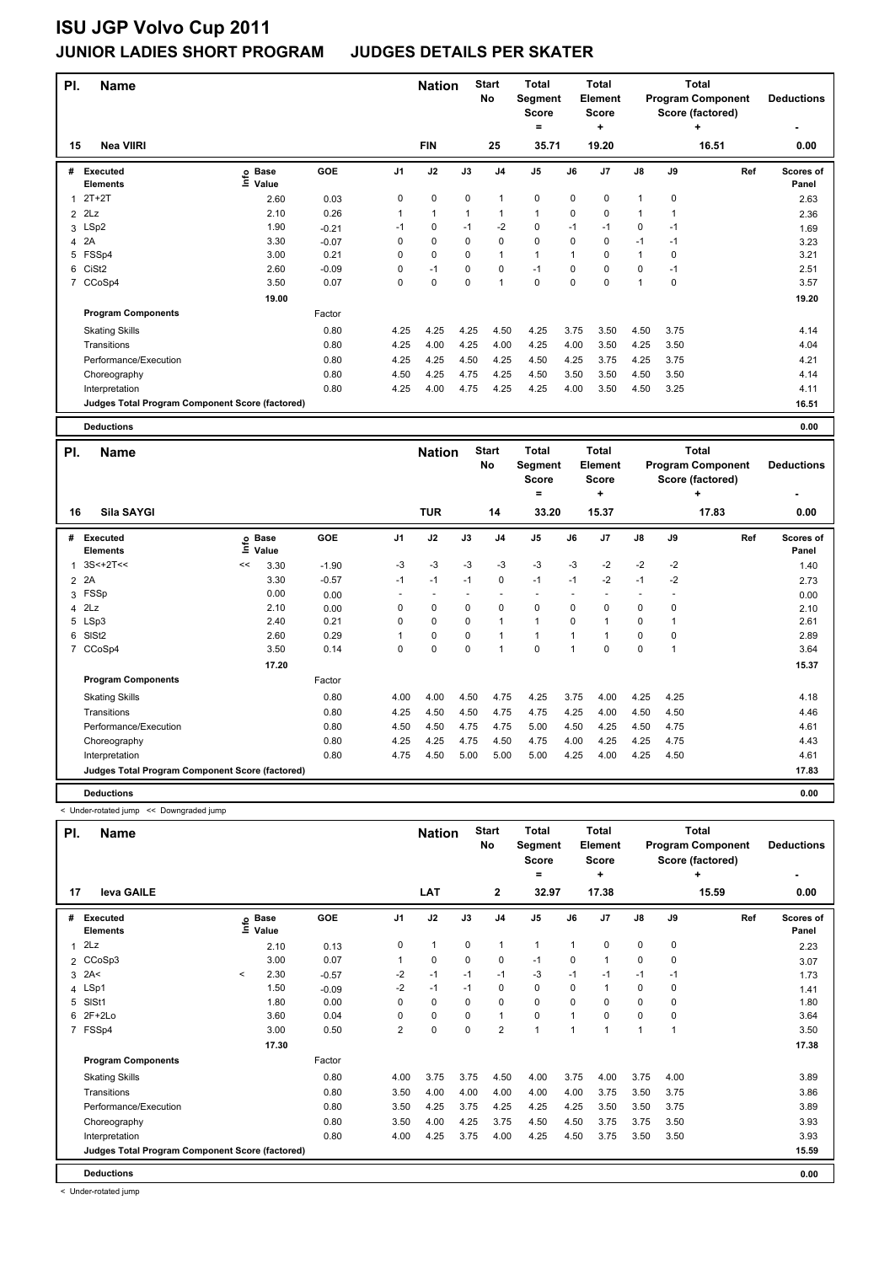| PI.            | <b>Name</b>                                     |                              |         |      | <b>Nation</b> |             | <b>Start</b><br>No | <b>Total</b><br>Segment<br><b>Score</b> |             | <b>Total</b><br>Element<br><b>Score</b> |              |             | <b>Total</b><br><b>Program Component</b><br>Score (factored) | <b>Deductions</b>  |
|----------------|-------------------------------------------------|------------------------------|---------|------|---------------|-------------|--------------------|-----------------------------------------|-------------|-----------------------------------------|--------------|-------------|--------------------------------------------------------------|--------------------|
|                |                                                 |                              |         |      |               |             |                    | =                                       |             | ٠                                       |              |             | ÷                                                            |                    |
| 15             | <b>Nea VIIRI</b>                                |                              |         |      | <b>FIN</b>    |             | 25                 | 35.71                                   |             | 19.20                                   |              |             | 16.51                                                        | 0.00               |
| #              | Executed<br><b>Elements</b>                     | <b>Base</b><br>١nfo<br>Value | GOE     | J1   | J2            | J3          | J <sub>4</sub>     | J <sub>5</sub>                          | J6          | J7                                      | J8           | J9          | Ref                                                          | Scores of<br>Panel |
| 1              | $2T+2T$                                         | 2.60                         | 0.03    | 0    | $\mathbf 0$   | $\mathbf 0$ | $\overline{1}$     | $\mathbf 0$                             | $\mathbf 0$ | $\mathbf 0$                             | $\mathbf{1}$ | $\mathbf 0$ |                                                              | 2.63               |
| $\overline{2}$ | 2Lz                                             | 2.10                         | 0.26    | 1    | $\mathbf{1}$  | 1           | $\overline{1}$     | $\mathbf{1}$                            | 0           | 0                                       | $\mathbf{1}$ | 1           |                                                              | 2.36               |
|                | 3 LSp2                                          | 1.90                         | $-0.21$ | $-1$ | 0             | $-1$        | $-2$               | 0                                       | $-1$        | $-1$                                    | 0            | $-1$        |                                                              | 1.69               |
| 4              | 2A                                              | 3.30                         | $-0.07$ | 0    | $\mathbf 0$   | 0           | $\mathbf 0$        | $\mathbf 0$                             | 0           | 0                                       | $-1$         | $-1$        |                                                              | 3.23               |
| 5              | FSSp4                                           | 3.00                         | 0.21    | 0    | $\mathbf 0$   | 0           | $\overline{1}$     | $\mathbf{1}$                            | 1           | $\Omega$                                | $\mathbf{1}$ | 0           |                                                              | 3.21               |
| 6              | CiSt <sub>2</sub>                               | 2.60                         | $-0.09$ | 0    | $-1$          | 0           | 0                  | $-1$                                    | 0           | 0                                       | 0            | $-1$        |                                                              | 2.51               |
| 7              | CCoSp4                                          | 3.50                         | 0.07    | 0    | 0             | 0           | 1                  | 0                                       | 0           | 0                                       | $\mathbf{1}$ | 0           |                                                              | 3.57               |
|                |                                                 | 19.00                        |         |      |               |             |                    |                                         |             |                                         |              |             |                                                              | 19.20              |
|                | <b>Program Components</b>                       |                              | Factor  |      |               |             |                    |                                         |             |                                         |              |             |                                                              |                    |
|                | <b>Skating Skills</b>                           |                              | 0.80    | 4.25 | 4.25          | 4.25        | 4.50               | 4.25                                    | 3.75        | 3.50                                    | 4.50         | 3.75        |                                                              | 4.14               |
|                | Transitions                                     |                              | 0.80    | 4.25 | 4.00          | 4.25        | 4.00               | 4.25                                    | 4.00        | 3.50                                    | 4.25         | 3.50        |                                                              | 4.04               |
|                | Performance/Execution                           |                              | 0.80    | 4.25 | 4.25          | 4.50        | 4.25               | 4.50                                    | 4.25        | 3.75                                    | 4.25         | 3.75        |                                                              | 4.21               |
|                | Choreography                                    |                              | 0.80    | 4.50 | 4.25          | 4.75        | 4.25               | 4.50                                    | 3.50        | 3.50                                    | 4.50         | 3.50        |                                                              | 4.14               |
|                | Interpretation                                  |                              | 0.80    | 4.25 | 4.00          | 4.75        | 4.25               | 4.25                                    | 4.00        | 3.50                                    | 4.50         | 3.25        |                                                              | 4.11               |
|                | Judges Total Program Component Score (factored) |                              |         |      |               |             |                    |                                         |             |                                         |              |             |                                                              | 16.51              |
|                | <b>Deductions</b>                               |                              |         |      |               |             |                    |                                         |             |                                         |              |             |                                                              | 0.00               |

| PI. | <b>Name</b>                                     |    |                            |         | <b>Nation</b>  |             | <b>Start</b><br>No | <b>Total</b><br>Segment<br><b>Score</b> |                | <b>Total</b><br>Element<br><b>Score</b> |                |           | <b>Total</b><br><b>Program Component</b><br>Score (factored) | <b>Deductions</b> |                    |
|-----|-------------------------------------------------|----|----------------------------|---------|----------------|-------------|--------------------|-----------------------------------------|----------------|-----------------------------------------|----------------|-----------|--------------------------------------------------------------|-------------------|--------------------|
| 16  | Sila SAYGI                                      |    |                            |         |                | <b>TUR</b>  |                    | 14                                      | =<br>33.20     |                                         | ٠<br>15.37     |           |                                                              | ÷<br>17.83        | 0.00               |
| #   | Executed<br><b>Elements</b>                     |    | e Base<br>E Value<br>Value | GOE     | J <sub>1</sub> | J2          | J3                 | J <sub>4</sub>                          | J <sub>5</sub> | J6                                      | J <sub>7</sub> | J8        | J9                                                           | Ref               | Scores of<br>Panel |
| 1   | $3S<+2T<<$                                      | << | 3.30                       | $-1.90$ | $-3$           | $-3$        | $-3$               | $-3$                                    | $-3$           | $-3$                                    | $-2$           | $-2$      | $-2$                                                         |                   | 1.40               |
|     | 2 2A                                            |    | 3.30                       | $-0.57$ | $-1$           | $-1$        | $-1$               | 0                                       | $-1$           | $-1$                                    | $-2$           | $-1$      | $-2$                                                         |                   | 2.73               |
| 3   | FSSp                                            |    | 0.00                       | 0.00    |                |             |                    |                                         |                |                                         |                |           |                                                              |                   | 0.00               |
|     | $4$ $2Lz$                                       |    | 2.10                       | 0.00    | 0              | $\mathbf 0$ | 0                  | 0                                       | 0              | 0                                       | 0              | 0         | 0                                                            |                   | 2.10               |
|     | 5 LSp3                                          |    | 2.40                       | 0.21    | 0              | $\mathbf 0$ | $\mathbf 0$        | $\mathbf{1}$                            | $\mathbf{1}$   | $\Omega$                                |                | 0         |                                                              |                   | 2.61               |
|     | 6 SISt2                                         |    | 2.60                       | 0.29    |                | $\mathbf 0$ | $\mathbf 0$        | $\mathbf{1}$                            | $\mathbf{1}$   | 1                                       |                | 0         | 0                                                            |                   | 2.89               |
|     | 7 CCoSp4                                        |    | 3.50                       | 0.14    | 0              | $\pmb{0}$   | 0                  | $\overline{1}$                          | $\pmb{0}$      | $\overline{1}$                          | $\mathbf 0$    | $\pmb{0}$ | 1                                                            |                   | 3.64               |
|     |                                                 |    | 17.20                      |         |                |             |                    |                                         |                |                                         |                |           |                                                              |                   | 15.37              |
|     | <b>Program Components</b>                       |    |                            | Factor  |                |             |                    |                                         |                |                                         |                |           |                                                              |                   |                    |
|     | <b>Skating Skills</b>                           |    |                            | 0.80    | 4.00           | 4.00        | 4.50               | 4.75                                    | 4.25           | 3.75                                    | 4.00           | 4.25      | 4.25                                                         |                   | 4.18               |
|     | Transitions                                     |    |                            | 0.80    | 4.25           | 4.50        | 4.50               | 4.75                                    | 4.75           | 4.25                                    | 4.00           | 4.50      | 4.50                                                         |                   | 4.46               |
|     | Performance/Execution                           |    |                            | 0.80    | 4.50           | 4.50        | 4.75               | 4.75                                    | 5.00           | 4.50                                    | 4.25           | 4.50      | 4.75                                                         |                   | 4.61               |
|     | Choreography                                    |    |                            | 0.80    | 4.25           | 4.25        | 4.75               | 4.50                                    | 4.75           | 4.00                                    | 4.25           | 4.25      | 4.75                                                         |                   | 4.43               |
|     | Interpretation                                  |    |                            | 0.80    | 4.75           | 4.50        | 5.00               | 5.00                                    | 5.00           | 4.25                                    | 4.00           | 4.25      | 4.50                                                         |                   | 4.61               |
|     | Judges Total Program Component Score (factored) |    |                            |         |                |             |                    |                                         |                |                                         |                |           |                                                              |                   | 17.83              |
|     | <b>Deductions</b>                               |    |                            |         |                |             |                    |                                         |                |                                         |                |           |                                                              |                   | 0.00               |

< Under-rotated jump << Downgraded jump

| PI. | <b>Name</b>                                     |         |                      | <b>Nation</b> |                | <b>Start</b><br>No | Total<br>Segment<br><b>Score</b><br>۰ |                | Total<br>Element<br><b>Score</b><br>٠ |              |                | Total<br><b>Program Component</b><br>Score (factored)<br>٠ | <b>Deductions</b> |       |                    |
|-----|-------------------------------------------------|---------|----------------------|---------------|----------------|--------------------|---------------------------------------|----------------|---------------------------------------|--------------|----------------|------------------------------------------------------------|-------------------|-------|--------------------|
| 17  | leva GAILE                                      |         |                      |               |                | LAT                |                                       | $\mathbf{2}$   | 32.97                                 |              | 17.38          |                                                            |                   | 15.59 | 0.00               |
| #   | Executed<br><b>Elements</b>                     | ١nfo    | <b>Base</b><br>Value | GOE           | J <sub>1</sub> | J2                 | J3                                    | J <sub>4</sub> | J <sub>5</sub>                        | J6           | J <sub>7</sub> | J8                                                         | J9                | Ref   | Scores of<br>Panel |
|     | 2Lz                                             |         | 2.10                 | 0.13          | 0              | $\mathbf{1}$       | 0                                     | $\mathbf 1$    | $\mathbf{1}$                          | $\mathbf{1}$ | $\Omega$       | 0                                                          | 0                 |       | 2.23               |
|     | 2 CCoSp3                                        |         | 3.00                 | 0.07          | 1              | 0                  | 0                                     | 0              | $-1$                                  | 0            |                | 0                                                          | 0                 |       | 3.07               |
|     | $3$ 2A<                                         | $\prec$ | 2.30                 | $-0.57$       | $-2$           | $-1$               | $-1$                                  | $-1$           | $-3$                                  | $-1$         | $-1$           | $-1$                                                       | $-1$              |       | 1.73               |
|     | 4 LSp1                                          |         | 1.50                 | $-0.09$       | $-2$           | $-1$               | $-1$                                  | $\mathbf 0$    | $\mathbf 0$                           | $\mathbf 0$  |                | $\mathbf 0$                                                | 0                 |       | 1.41               |
| 5   | SISt1                                           |         | 1.80                 | 0.00          | 0              | $\mathbf 0$        | $\Omega$                              | 0              | $\mathbf 0$                           | $\Omega$     | $\Omega$       | 0                                                          | 0                 |       | 1.80               |
|     | 6 2F+2Lo                                        |         | 3.60                 | 0.04          | 0              | 0                  | $\Omega$                              | $\mathbf{1}$   | 0                                     | $\mathbf{1}$ | $\Omega$       | 0                                                          | 0                 |       | 3.64               |
|     | 7 FSSp4                                         |         | 3.00                 | 0.50          | $\overline{2}$ | $\mathbf 0$        | $\Omega$                              | $\overline{2}$ | $\mathbf{1}$                          | $\mathbf{1}$ |                | $\mathbf{1}$                                               |                   |       | 3.50               |
|     |                                                 |         | 17.30                |               |                |                    |                                       |                |                                       |              |                |                                                            |                   |       | 17.38              |
|     | <b>Program Components</b>                       |         |                      | Factor        |                |                    |                                       |                |                                       |              |                |                                                            |                   |       |                    |
|     | <b>Skating Skills</b>                           |         |                      | 0.80          | 4.00           | 3.75               | 3.75                                  | 4.50           | 4.00                                  | 3.75         | 4.00           | 3.75                                                       | 4.00              |       | 3.89               |
|     | Transitions                                     |         |                      | 0.80          | 3.50           | 4.00               | 4.00                                  | 4.00           | 4.00                                  | 4.00         | 3.75           | 3.50                                                       | 3.75              |       | 3.86               |
|     | Performance/Execution                           |         |                      | 0.80          | 3.50           | 4.25               | 3.75                                  | 4.25           | 4.25                                  | 4.25         | 3.50           | 3.50                                                       | 3.75              |       | 3.89               |
|     | Choreography                                    |         |                      | 0.80          | 3.50           | 4.00               | 4.25                                  | 3.75           | 4.50                                  | 4.50         | 3.75           | 3.75                                                       | 3.50              |       | 3.93               |
|     | Interpretation                                  |         |                      | 0.80          | 4.00           | 4.25               | 3.75                                  | 4.00           | 4.25                                  | 4.50         | 3.75           | 3.50                                                       | 3.50              |       | 3.93               |
|     | Judges Total Program Component Score (factored) |         |                      |               |                |                    |                                       |                |                                       |              |                |                                                            |                   |       | 15.59              |
|     | <b>Deductions</b>                               |         |                      |               |                |                    |                                       |                |                                       |              |                |                                                            |                   |       | 0.00               |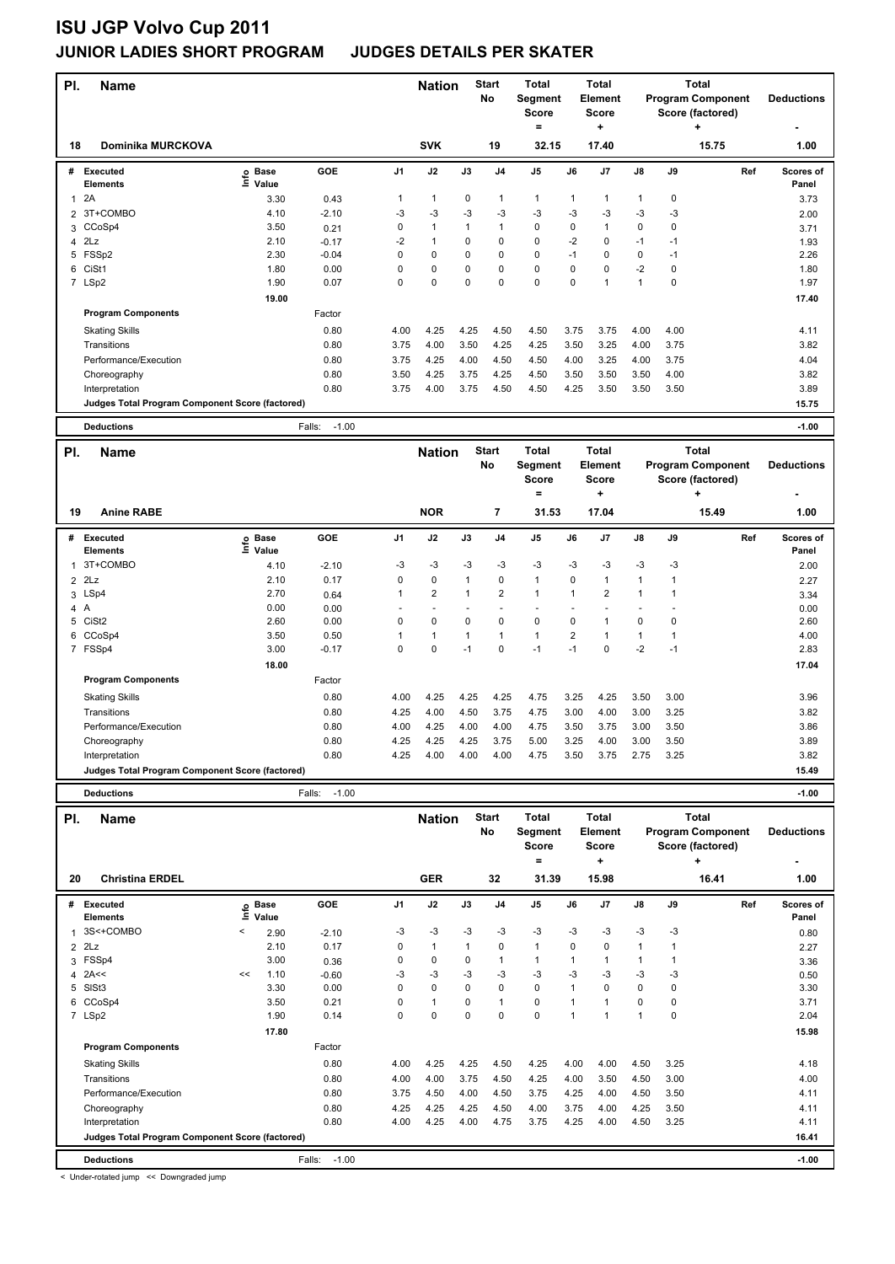| PI.                 | Name                                            |                  |                   |                | <b>Nation</b>        |              | <b>Start</b>   | Total                               |                               | Total                               |                      |              | <b>Total</b>                                 |     |                   |
|---------------------|-------------------------------------------------|------------------|-------------------|----------------|----------------------|--------------|----------------|-------------------------------------|-------------------------------|-------------------------------------|----------------------|--------------|----------------------------------------------|-----|-------------------|
|                     |                                                 |                  |                   |                |                      |              | No             | Segment<br><b>Score</b><br>$\equiv$ |                               | <b>Element</b><br><b>Score</b><br>÷ |                      |              | <b>Program Component</b><br>Score (factored) |     | <b>Deductions</b> |
| 18                  | Dominika MURCKOVA                               |                  |                   |                | <b>SVK</b>           |              | 19             | 32.15                               |                               | 17.40                               |                      |              | 15.75                                        |     | 1.00              |
| #                   | <b>Executed</b>                                 | <b>Base</b><br>e | <b>GOE</b>        | J1             | J2                   | J3           | J <sub>4</sub> | J5                                  | J6                            | J7                                  | J8                   | J9           |                                              | Ref | Scores of         |
|                     | <b>Elements</b>                                 | Value            |                   |                |                      |              |                |                                     |                               |                                     |                      |              |                                              |     | Panel             |
| $\mathbf{1}$        | 2A<br>3T+COMBO                                  | 3.30<br>4.10     | 0.43<br>$-2.10$   | 1<br>-3        | $\mathbf{1}$<br>$-3$ | 0<br>$-3$    | 1<br>$-3$      | $\mathbf{1}$<br>$-3$                | 1<br>$-3$                     | $\mathbf 1$<br>-3                   | $\mathbf 1$<br>-3    | 0<br>-3      |                                              |     | 3.73              |
| $\overline{2}$<br>3 | CCoSp4                                          | 3.50             | 0.21              | 0              | $\mathbf{1}$         | 1            | $\mathbf{1}$   | 0                                   | $\mathbf 0$                   | $\mathbf{1}$                        | $\pmb{0}$            | 0            |                                              |     | 2.00<br>3.71      |
| 4                   | 2Lz                                             | 2.10             | $-0.17$           | $-2$           | $\mathbf{1}$         | 0            | 0              | $\pmb{0}$                           | $-2$                          | 0                                   | $-1$                 | $-1$         |                                              |     | 1.93              |
|                     | 5 FSSp2                                         | 2.30             | $-0.04$           | 0              | 0                    | 0            | 0              | 0                                   | $-1$                          | $\mathbf 0$                         | $\pmb{0}$            | $-1$         |                                              |     | 2.26              |
| 6                   | CiSt1                                           | 1.80             | 0.00              | 0              | 0                    | 0            | 0              | $\pmb{0}$                           | 0                             | $\pmb{0}$                           | $-2$                 | 0            |                                              |     | 1.80              |
|                     | 7 LSp2                                          | 1.90             | 0.07              | 0              | 0                    | 0            | 0              | $\pmb{0}$                           | $\mathbf 0$                   | $\mathbf{1}$                        | $\mathbf{1}$         | 0            |                                              |     | 1.97              |
|                     |                                                 | 19.00            |                   |                |                      |              |                |                                     |                               |                                     |                      |              |                                              |     | 17.40             |
|                     | <b>Program Components</b>                       |                  | Factor            |                |                      |              |                |                                     |                               |                                     |                      |              |                                              |     |                   |
|                     | <b>Skating Skills</b>                           |                  | 0.80              | 4.00           | 4.25                 | 4.25         | 4.50           | 4.50                                | 3.75                          | 3.75                                | 4.00                 | 4.00         |                                              |     | 4.11              |
|                     | Transitions                                     |                  | 0.80              | 3.75           | 4.00                 | 3.50         | 4.25           | 4.25                                | 3.50                          | 3.25                                | 4.00                 | 3.75         |                                              |     | 3.82              |
|                     | Performance/Execution                           |                  | 0.80              | 3.75           | 4.25                 | 4.00         | 4.50           | 4.50                                | 4.00                          | 3.25                                | 4.00                 | 3.75         |                                              |     | 4.04              |
|                     | Choreography                                    |                  | 0.80              | 3.50           | 4.25                 | 3.75         | 4.25           | 4.50                                | 3.50                          | 3.50                                | 3.50                 | 4.00         |                                              |     | 3.82              |
|                     | Interpretation                                  |                  | 0.80              | 3.75           | 4.00                 | 3.75         | 4.50           | 4.50                                | 4.25                          | 3.50                                | 3.50                 | 3.50         |                                              |     | 3.89              |
|                     | Judges Total Program Component Score (factored) |                  |                   |                |                      |              |                |                                     |                               |                                     |                      |              |                                              |     | 15.75             |
|                     | <b>Deductions</b>                               |                  | $-1.00$<br>Falls: |                |                      |              |                |                                     |                               |                                     |                      |              |                                              |     | $-1.00$           |
| PI.                 | Name                                            |                  |                   |                | <b>Nation</b>        |              | <b>Start</b>   | <b>Total</b>                        |                               | <b>Total</b>                        |                      |              | <b>Total</b>                                 |     |                   |
|                     |                                                 |                  |                   |                |                      |              | No             | Segment                             |                               | <b>Element</b>                      |                      |              | <b>Program Component</b>                     |     | <b>Deductions</b> |
|                     |                                                 |                  |                   |                |                      |              |                | <b>Score</b><br>$=$                 |                               | Score                               |                      |              | Score (factored)                             |     |                   |
|                     |                                                 |                  |                   |                |                      |              |                |                                     |                               | $\ddot{}$                           |                      |              | ٠                                            |     |                   |
| 19                  | <b>Anine RABE</b>                               |                  |                   |                | <b>NOR</b>           |              | 7              | 31.53                               |                               | 17.04                               |                      |              | 15.49                                        |     | 1.00              |
| #                   | <b>Executed</b>                                 | <b>Base</b>      | <b>GOE</b>        | J <sub>1</sub> | J2                   | J3           | J4             | J5                                  | J6                            | J7                                  | J8                   | J9           |                                              | Ref | Scores of         |
|                     | <b>Elements</b>                                 | ۴ů<br>Value      |                   |                |                      |              |                |                                     |                               |                                     |                      |              |                                              |     | Panel             |
| 1                   | 3T+COMBO                                        | 4.10             | $-2.10$           | -3             | -3                   | -3           | -3             | -3                                  | -3                            | -3                                  | -3                   | -3           |                                              |     | 2.00              |
| $\overline{2}$      | 2Lz                                             | 2.10             | 0.17              | 0              | 0                    | $\mathbf{1}$ | 0              | $\overline{1}$                      | 0                             | $\mathbf{1}$                        | $\mathbf{1}$         | $\mathbf{1}$ |                                              |     | 2.27              |
| 3                   | LSp4                                            | 2.70             | 0.64              | 1              | 2                    | 1            | 2              | $\mathbf{1}$                        | 1                             | $\overline{\mathbf{c}}$             | $\mathbf{1}$         | 1            |                                              |     | 3.34              |
| 4A                  |                                                 | 0.00             | 0.00              |                | $\overline{a}$       | ÷,           | ÷,             | $\overline{a}$                      | L,                            | ÷,                                  | $\overline{a}$       | ÷,           |                                              |     | 0.00              |
| 5                   | CiSt <sub>2</sub>                               | 2.60             | 0.00              | 0              | 0                    | 0            | 0<br>1         | 0<br>$\overline{1}$                 | $\mathbf 0$<br>$\overline{2}$ | $\mathbf{1}$                        | $\mathbf 0$          | 0            |                                              |     | 2.60              |
|                     | 6 CCoSp4<br>7 FSSp4                             | 3.50<br>3.00     | 0.50<br>$-0.17$   | 1<br>0         | 1<br>0               | 1<br>$-1$    | 0              | $-1$                                | $-1$                          | $\mathbf{1}$<br>$\Omega$            | $\mathbf{1}$<br>$-2$ | 1<br>$-1$    |                                              |     | 4.00<br>2.83      |
|                     |                                                 | 18.00            |                   |                |                      |              |                |                                     |                               |                                     |                      |              |                                              |     | 17.04             |
|                     | <b>Program Components</b>                       |                  | Factor            |                |                      |              |                |                                     |                               |                                     |                      |              |                                              |     |                   |
|                     | <b>Skating Skills</b>                           |                  | 0.80              | 4.00           | 4.25                 | 4.25         | 4.25           | 4.75                                | 3.25                          | 4.25                                | 3.50                 | 3.00         |                                              |     | 3.96              |
|                     | Transitions                                     |                  | 0.80              | 4.25           | 4.00                 | 4.50         | 3.75           | 4.75                                | 3.00                          | 4.00                                | 3.00                 | 3.25         |                                              |     | 3.82              |
|                     | Performance/Execution                           |                  | 0.80              | 4.00           | 4.25                 | 4.00         | 4.00           | 4.75                                | 3.50                          | 3.75                                | 3.00                 | 3.50         |                                              |     | 3.86              |
|                     | Choreography                                    |                  | 0.80              | 4.25           | 4.25                 | 4.25         | 3.75           | 5.00                                | 3.25                          | 4.00                                | 3.00                 | 3.50         |                                              |     | 3.89              |
|                     | Interpretation                                  |                  | 0.80              | 4.25           | 4.00                 | 4.00         | 4.00           | 4.75                                | 3.50                          | 3.75                                | 2.75                 | 3.25         |                                              |     | 3.82              |
|                     | Judges Total Program Component Score (factored) |                  |                   |                |                      |              |                |                                     |                               |                                     |                      |              |                                              |     | 15.49             |
|                     |                                                 |                  |                   |                |                      |              |                |                                     |                               |                                     |                      |              |                                              |     |                   |
|                     | <b>Deductions</b>                               |                  | $-1.00$<br>Falls: |                |                      |              |                |                                     |                               |                                     |                      |              |                                              |     | $-1.00$           |
| PI.                 | Name                                            |                  |                   |                | <b>Nation</b>        |              | <b>Start</b>   | Total                               |                               | Total                               |                      |              | <b>Total</b>                                 |     |                   |
|                     |                                                 |                  |                   |                |                      |              | No             | Segment                             |                               | Element                             |                      |              | <b>Program Component</b>                     |     | <b>Deductions</b> |
|                     |                                                 |                  |                   |                |                      |              |                | <b>Score</b><br>Ξ.                  |                               | Score<br>+                          |                      |              | Score (factored)<br>٠                        |     |                   |
| 20                  | <b>Christina ERDEL</b>                          |                  |                   |                | <b>GER</b>           |              | 32             | 31.39                               |                               | 15.98                               |                      |              | 16.41                                        |     | 1.00              |
|                     | # Executed                                      | <b>Base</b>      | GOE               | J1             | J2                   | J3           | J4             | J5                                  | J6                            | J7                                  | J8                   | J9           |                                              | Ref | Scores of         |
|                     | Elements                                        | ١nf٥<br>Value    |                   |                |                      |              |                |                                     |                               |                                     |                      |              |                                              |     | Panel             |
| 1                   | 3S<+COMBO                                       | <<br>2.90        | $-2.10$           | -3             | -3                   | $-3$         | -3             | -3                                  | -3                            | -3                                  | -3                   | -3           |                                              |     | 0.80              |
| $\overline{2}$      | 2Lz                                             | 2.10             | 0.17              | 0              | $\mathbf{1}$         | 1            | 0              | $\mathbf{1}$                        | 0                             | 0                                   | $\mathbf{1}$         | 1            |                                              |     | 2.27              |
| 3                   | FSSp4                                           | 3.00             | 0.36              | 0              | 0                    | 0            | 1              | $\mathbf{1}$                        | 1                             | $\mathbf 1$                         | $\mathbf{1}$         | $\mathbf{1}$ |                                              |     | 3.36              |
| 4                   | 2A<<                                            | 1.10<br><<       | $-0.60$           | -3             | -3                   | $-3$         | $-3$           | -3                                  | -3                            | -3                                  | -3                   | -3           |                                              |     | 0.50              |
| 5                   | SISt3                                           | 3.30             | 0.00              | 0              | 0                    | 0            | 0              | $\pmb{0}$                           | $\mathbf{1}$                  | $\pmb{0}$                           | $\pmb{0}$            | 0            |                                              |     | 3.30              |
| 6                   | CCoSp4                                          | 3.50             | 0.21              | 0              | $\mathbf{1}$         | 0            | $\mathbf{1}$   | $\pmb{0}$                           | $\mathbf{1}$                  | $\mathbf{1}$                        | $\pmb{0}$            | 0            |                                              |     | 3.71              |
|                     | 7 LSp2                                          | 1.90             | 0.14              | 0              | 0                    | 0            | 0              | $\pmb{0}$                           | $\mathbf{1}$                  | $\mathbf{1}$                        | $\mathbf{1}$         | 0            |                                              |     | 2.04              |
|                     | <b>Program Components</b>                       | 17.80            | Factor            |                |                      |              |                |                                     |                               |                                     |                      |              |                                              |     | 15.98             |
|                     |                                                 |                  |                   |                |                      |              |                |                                     |                               |                                     |                      |              |                                              |     |                   |
|                     | <b>Skating Skills</b><br>Transitions            |                  | 0.80<br>0.80      | 4.00<br>4.00   | 4.25<br>4.00         | 4.25<br>3.75 | 4.50<br>4.50   | 4.25<br>4.25                        | 4.00<br>4.00                  | 4.00<br>3.50                        | 4.50<br>4.50         | 3.25<br>3.00 |                                              |     | 4.18<br>4.00      |
|                     | Performance/Execution                           |                  | 0.80              | 3.75           | 4.50                 | 4.00         | 4.50           | 3.75                                | 4.25                          | 4.00                                | 4.50                 | 3.50         |                                              |     |                   |
|                     | Choreography                                    |                  | 0.80              | 4.25           | 4.25                 | 4.25         | 4.50           | 4.00                                | 3.75                          | 4.00                                | 4.25                 | 3.50         |                                              |     | 4.11<br>4.11      |
|                     | Interpretation                                  |                  | 0.80              | 4.00           | 4.25                 | 4.00         | 4.75           | 3.75                                | 4.25                          | 4.00                                | 4.50                 | 3.25         |                                              |     | 4.11              |
|                     | Judges Total Program Component Score (factored) |                  |                   |                |                      |              |                |                                     |                               |                                     |                      |              |                                              |     | 16.41             |

**Deductions** Falls: -1.00 **-1.00** < Under-rotated jump << Downgraded jump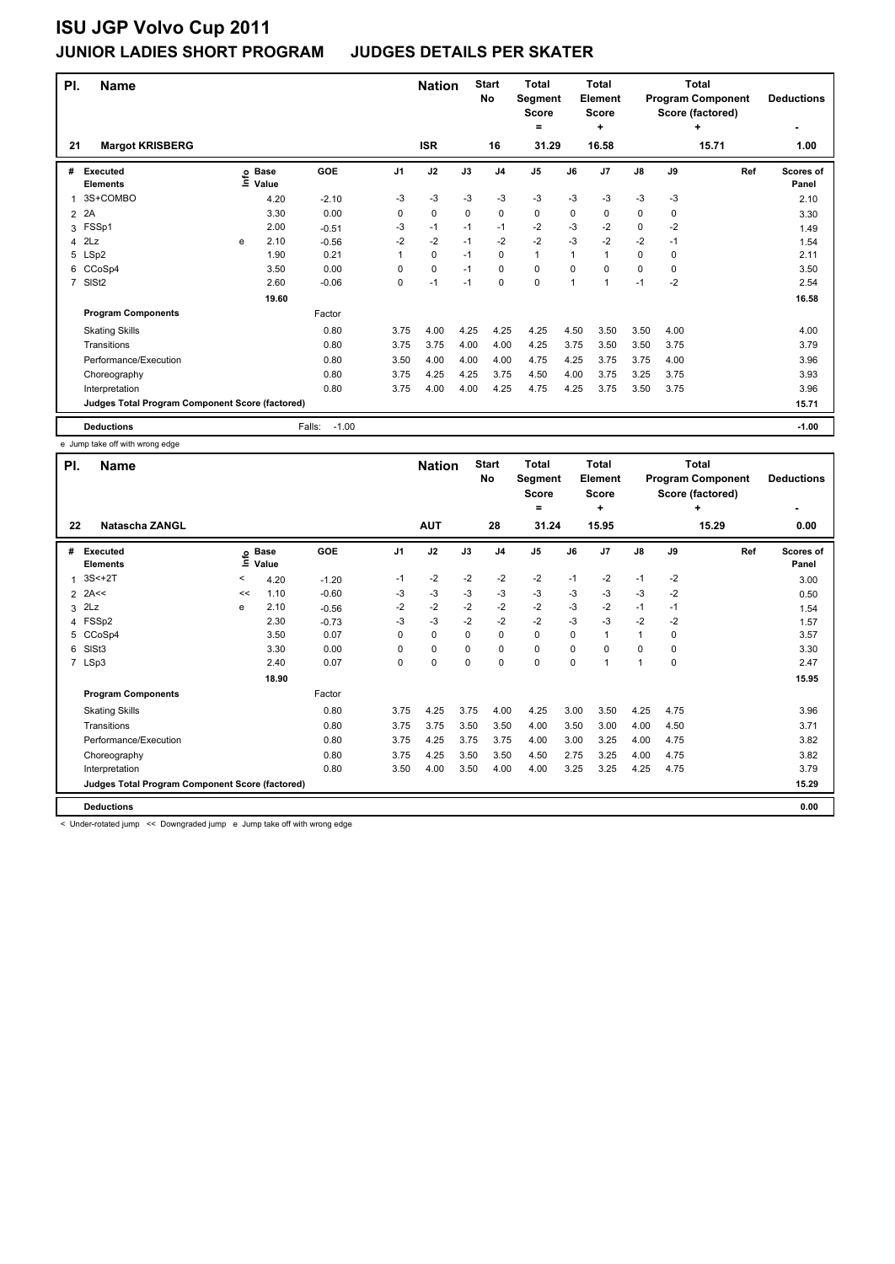| PI.            | <b>Name</b>                                     |   |                            |                   |                | <b>Nation</b> |      | <b>Start</b><br>No | <b>Total</b><br>Segment<br><b>Score</b><br>$=$ |          | <b>Total</b><br>Element<br><b>Score</b><br>÷ |               |      | <b>Total</b><br><b>Program Component</b><br>Score (factored)<br>٠ | <b>Deductions</b>         |
|----------------|-------------------------------------------------|---|----------------------------|-------------------|----------------|---------------|------|--------------------|------------------------------------------------|----------|----------------------------------------------|---------------|------|-------------------------------------------------------------------|---------------------------|
| 21             | <b>Margot KRISBERG</b>                          |   |                            |                   |                | <b>ISR</b>    |      | 16                 | 31.29                                          |          | 16.58                                        |               |      | 15.71                                                             | 1.00                      |
| #              | <b>Executed</b><br><b>Elements</b>              |   | e Base<br>⊑ Value<br>Value | GOE               | J <sub>1</sub> | J2            | J3   | J <sub>4</sub>     | J <sub>5</sub>                                 | J6       | J <sub>7</sub>                               | $\mathsf{J}8$ | J9   | Ref                                                               | <b>Scores of</b><br>Panel |
|                | 3S+COMBO                                        |   | 4.20                       | $-2.10$           | -3             | $-3$          | $-3$ | $-3$               | $-3$                                           | $-3$     | $-3$                                         | $-3$          | $-3$ |                                                                   | 2.10                      |
| $\overline{2}$ | 2A                                              |   | 3.30                       | 0.00              | 0              | $\mathbf 0$   | 0    | $\mathbf 0$        | 0                                              | 0        | 0                                            | 0             | 0    |                                                                   | 3.30                      |
| 3              | FSSp1                                           |   | 2.00                       | $-0.51$           | $-3$           | $-1$          | $-1$ | $-1$               | $-2$                                           | $-3$     | $-2$                                         | 0             | $-2$ |                                                                   | 1.49                      |
| 4              | 2Lz                                             | e | 2.10                       | $-0.56$           | $-2$           | $-2$          | $-1$ | $-2$               | $-2$                                           | $-3$     | $-2$                                         | $-2$          | $-1$ |                                                                   | 1.54                      |
| 5              | LSp2                                            |   | 1.90                       | 0.21              | 1              | $\mathbf 0$   | $-1$ | 0                  | $\mathbf{1}$                                   | 1        | $\mathbf{1}$                                 | 0             | 0    |                                                                   | 2.11                      |
| 6              | CCoSp4                                          |   | 3.50                       | 0.00              | $\Omega$       | 0             | $-1$ | $\Omega$           | 0                                              | $\Omega$ | 0                                            | 0             | 0    |                                                                   | 3.50                      |
| $\overline{7}$ | SIS <sub>t2</sub>                               |   | 2.60                       | $-0.06$           | 0              | $-1$          | $-1$ | $\mathbf 0$        | 0                                              | 1        | 1                                            | $-1$          | $-2$ |                                                                   | 2.54                      |
|                |                                                 |   | 19.60                      |                   |                |               |      |                    |                                                |          |                                              |               |      |                                                                   | 16.58                     |
|                | <b>Program Components</b>                       |   |                            | Factor            |                |               |      |                    |                                                |          |                                              |               |      |                                                                   |                           |
|                | <b>Skating Skills</b>                           |   |                            | 0.80              | 3.75           | 4.00          | 4.25 | 4.25               | 4.25                                           | 4.50     | 3.50                                         | 3.50          | 4.00 |                                                                   | 4.00                      |
|                | Transitions                                     |   |                            | 0.80              | 3.75           | 3.75          | 4.00 | 4.00               | 4.25                                           | 3.75     | 3.50                                         | 3.50          | 3.75 |                                                                   | 3.79                      |
|                | Performance/Execution                           |   |                            | 0.80              | 3.50           | 4.00          | 4.00 | 4.00               | 4.75                                           | 4.25     | 3.75                                         | 3.75          | 4.00 |                                                                   | 3.96                      |
|                | Choreography                                    |   |                            | 0.80              | 3.75           | 4.25          | 4.25 | 3.75               | 4.50                                           | 4.00     | 3.75                                         | 3.25          | 3.75 |                                                                   | 3.93                      |
|                | Interpretation                                  |   |                            | 0.80              | 3.75           | 4.00          | 4.00 | 4.25               | 4.75                                           | 4.25     | 3.75                                         | 3.50          | 3.75 |                                                                   | 3.96                      |
|                | Judges Total Program Component Score (factored) |   |                            |                   |                |               |      |                    |                                                |          |                                              |               |      |                                                                   | 15.71                     |
|                | <b>Deductions</b>                               |   |                            | $-1.00$<br>Falls: |                |               |      |                    |                                                |          |                                              |               |      |                                                                   | $-1.00$                   |

e Jump take off with wrong edge

| PI.            | <b>Name</b>                                     |         |                      |         |                | <b>Nation</b> |          | <b>Start</b><br><b>No</b> | <b>Total</b><br>Segment<br><b>Score</b> |             | Total<br>Element<br><b>Score</b> |               |      | Total<br><b>Program Component</b><br>Score (factored) | <b>Deductions</b>  |
|----------------|-------------------------------------------------|---------|----------------------|---------|----------------|---------------|----------|---------------------------|-----------------------------------------|-------------|----------------------------------|---------------|------|-------------------------------------------------------|--------------------|
| 22             | Natascha ZANGL                                  |         |                      |         |                | <b>AUT</b>    |          | 28                        | =<br>31.24                              |             | ٠<br>15.95                       |               |      | ٠<br>15.29                                            | 0.00               |
| #              | Executed<br><b>Elements</b>                     | ١m      | <b>Base</b><br>Value | GOE     | J <sub>1</sub> | J2            | J3       | J <sub>4</sub>            | J <sub>5</sub>                          | J6          | J7                               | $\mathsf{J}8$ | J9   | Ref                                                   | Scores of<br>Panel |
| 1              | $3S<+2T$                                        | $\,<\,$ | 4.20                 | $-1.20$ | $-1$           | $-2$          | $-2$     | $-2$                      | $-2$                                    | $-1$        | $-2$                             | $-1$          | $-2$ |                                                       | 3.00               |
| $\overline{2}$ | 2A<<                                            | <<      | 1.10                 | $-0.60$ | -3             | $-3$          | $-3$     | $-3$                      | $-3$                                    | $-3$        | $-3$                             | $-3$          | $-2$ |                                                       | 0.50               |
| 3              | 2Lz                                             | e       | 2.10                 | $-0.56$ | $-2$           | $-2$          | $-2$     | $-2$                      | $-2$                                    | $-3$        | $-2$                             | $-1$          | $-1$ |                                                       | 1.54               |
|                | 4 FSSp2                                         |         | 2.30                 | $-0.73$ | $-3$           | $-3$          | $-2$     | $-2$                      | $-2$                                    | $-3$        | $-3$                             | $-2$          | $-2$ |                                                       | 1.57               |
| 5              | CCoSp4                                          |         | 3.50                 | 0.07    | 0              | $\mathbf 0$   | $\Omega$ | 0                         | $\mathbf 0$                             | $\Omega$    | $\mathbf{1}$                     | $\mathbf{1}$  | 0    |                                                       | 3.57               |
| 6              | SISt <sub>3</sub>                               |         | 3.30                 | 0.00    | $\Omega$       | $\mathbf 0$   | $\Omega$ | 0                         | $\mathbf 0$                             | $\Omega$    | 0                                | $\Omega$      | 0    |                                                       | 3.30               |
|                | 7 LSp3                                          |         | 2.40                 | 0.07    | 0              | $\mathbf 0$   | 0        | 0                         | $\pmb{0}$                               | $\mathbf 0$ | 1                                | $\mathbf{1}$  | 0    |                                                       | 2.47               |
|                |                                                 |         | 18.90                |         |                |               |          |                           |                                         |             |                                  |               |      |                                                       | 15.95              |
|                | <b>Program Components</b>                       |         |                      | Factor  |                |               |          |                           |                                         |             |                                  |               |      |                                                       |                    |
|                | <b>Skating Skills</b>                           |         |                      | 0.80    | 3.75           | 4.25          | 3.75     | 4.00                      | 4.25                                    | 3.00        | 3.50                             | 4.25          | 4.75 |                                                       | 3.96               |
|                | Transitions                                     |         |                      | 0.80    | 3.75           | 3.75          | 3.50     | 3.50                      | 4.00                                    | 3.50        | 3.00                             | 4.00          | 4.50 |                                                       | 3.71               |
|                | Performance/Execution                           |         |                      | 0.80    | 3.75           | 4.25          | 3.75     | 3.75                      | 4.00                                    | 3.00        | 3.25                             | 4.00          | 4.75 |                                                       | 3.82               |
|                | Choreography                                    |         |                      | 0.80    | 3.75           | 4.25          | 3.50     | 3.50                      | 4.50                                    | 2.75        | 3.25                             | 4.00          | 4.75 |                                                       | 3.82               |
|                | Interpretation                                  |         |                      | 0.80    | 3.50           | 4.00          | 3.50     | 4.00                      | 4.00                                    | 3.25        | 3.25                             | 4.25          | 4.75 |                                                       | 3.79               |
|                | Judges Total Program Component Score (factored) |         |                      |         |                |               |          |                           |                                         |             |                                  |               |      |                                                       | 15.29              |
|                | <b>Deductions</b>                               |         |                      |         |                |               |          |                           |                                         |             |                                  |               |      |                                                       | 0.00               |

< Under-rotated jump << Downgraded jump e Jump take off with wrong edge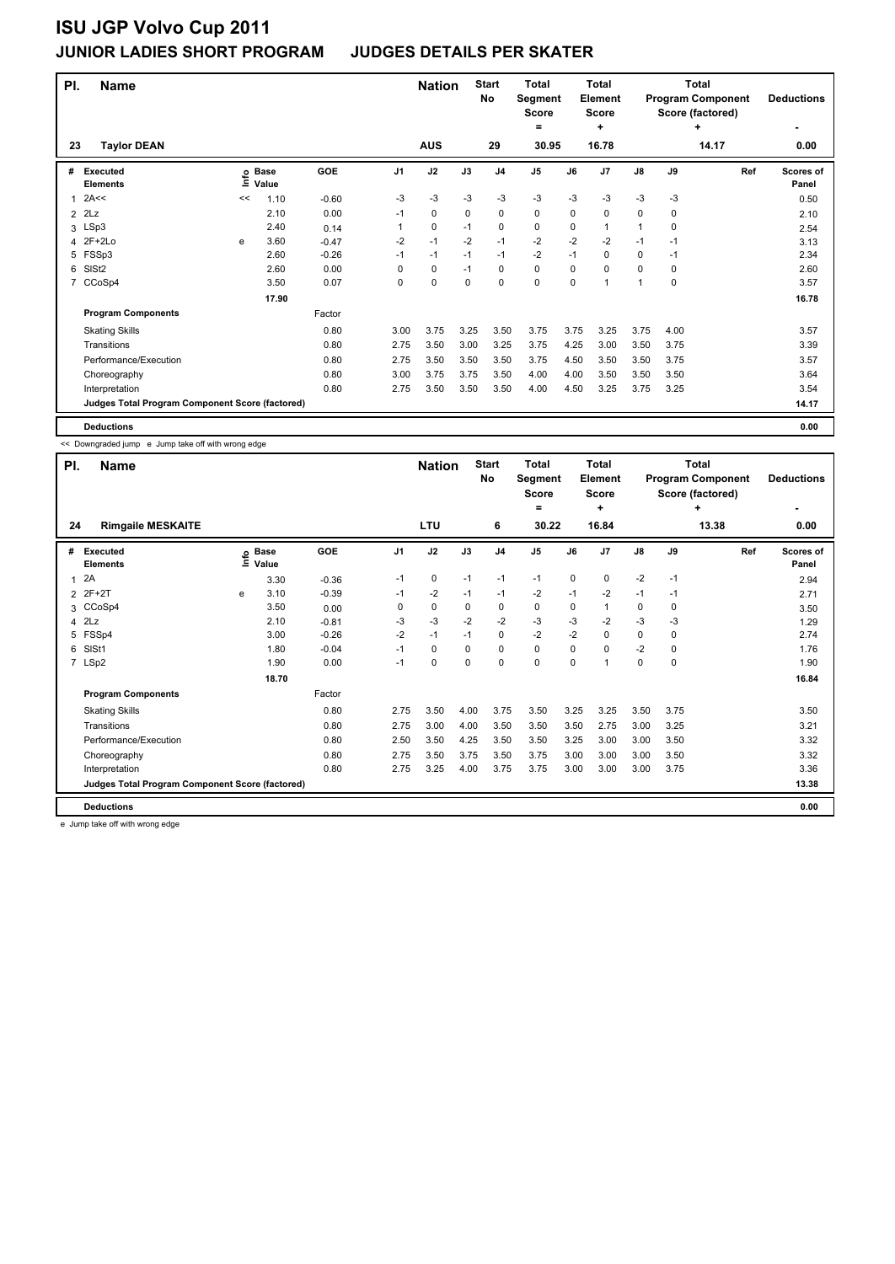| PI.            | <b>Name</b>                                     |    |                            |         |      | <b>Nation</b> |      | <b>Start</b><br>No | <b>Total</b><br>Segment<br><b>Score</b><br>$\equiv$ |      | <b>Total</b><br>Element<br><b>Score</b><br>٠ |      |             | <b>Total</b><br><b>Program Component</b><br>Score (factored)<br>4 | <b>Deductions</b>  |
|----------------|-------------------------------------------------|----|----------------------------|---------|------|---------------|------|--------------------|-----------------------------------------------------|------|----------------------------------------------|------|-------------|-------------------------------------------------------------------|--------------------|
| 23             | <b>Taylor DEAN</b>                              |    |                            |         |      | <b>AUS</b>    |      | 29                 | 30.95                                               |      | 16.78                                        |      |             | 14.17                                                             | 0.00               |
| #              | <b>Executed</b><br><b>Elements</b>              |    | e Base<br>⊆ Value<br>Value | GOE     | J1   | J2            | J3   | J <sub>4</sub>     | J5                                                  | J6   | J7                                           | J8   | J9          | Ref                                                               | Scores of<br>Panel |
| 1              | 2A<<                                            | << | 1.10                       | $-0.60$ | $-3$ | -3            | $-3$ | $-3$               | $-3$                                                | $-3$ | $-3$                                         | $-3$ | $-3$        |                                                                   | 0.50               |
| $\overline{2}$ | 2Lz                                             |    | 2.10                       | 0.00    | $-1$ | 0             | 0    | $\mathbf 0$        | 0                                                   | 0    | 0                                            | 0    | 0           |                                                                   | 2.10               |
|                | 3 LSp3                                          |    | 2.40                       | 0.14    | 1    | 0             | $-1$ | 0                  | 0                                                   | 0    | 1                                            | 1    | 0           |                                                                   | 2.54               |
| 4              | 2F+2Lo                                          | e  | 3.60                       | $-0.47$ | $-2$ | $-1$          | $-2$ | $-1$               | $-2$                                                | $-2$ | $-2$                                         | $-1$ | -1          |                                                                   | 3.13               |
| 5              | FSSp3                                           |    | 2.60                       | $-0.26$ | $-1$ | $-1$          | $-1$ | $-1$               | $-2$                                                | $-1$ | $\mathbf 0$                                  | 0    | $-1$        |                                                                   | 2.34               |
| 6              | SIS <sub>t2</sub>                               |    | 2.60                       | 0.00    | 0    | 0             | $-1$ | $\mathbf 0$        | 0                                                   | 0    | 0                                            | 0    | $\mathbf 0$ |                                                                   | 2.60               |
| 7              | CCoSp4                                          |    | 3.50                       | 0.07    | 0    | 0             | 0    | $\mathbf 0$        | 0                                                   | 0    | 1                                            | 1    | 0           |                                                                   | 3.57               |
|                |                                                 |    | 17.90                      |         |      |               |      |                    |                                                     |      |                                              |      |             |                                                                   | 16.78              |
|                | <b>Program Components</b>                       |    |                            | Factor  |      |               |      |                    |                                                     |      |                                              |      |             |                                                                   |                    |
|                | <b>Skating Skills</b>                           |    |                            | 0.80    | 3.00 | 3.75          | 3.25 | 3.50               | 3.75                                                | 3.75 | 3.25                                         | 3.75 | 4.00        |                                                                   | 3.57               |
|                | Transitions                                     |    |                            | 0.80    | 2.75 | 3.50          | 3.00 | 3.25               | 3.75                                                | 4.25 | 3.00                                         | 3.50 | 3.75        |                                                                   | 3.39               |
|                | Performance/Execution                           |    |                            | 0.80    | 2.75 | 3.50          | 3.50 | 3.50               | 3.75                                                | 4.50 | 3.50                                         | 3.50 | 3.75        |                                                                   | 3.57               |
|                | Choreography                                    |    |                            | 0.80    | 3.00 | 3.75          | 3.75 | 3.50               | 4.00                                                | 4.00 | 3.50                                         | 3.50 | 3.50        |                                                                   | 3.64               |
|                | Interpretation                                  |    |                            | 0.80    | 2.75 | 3.50          | 3.50 | 3.50               | 4.00                                                | 4.50 | 3.25                                         | 3.75 | 3.25        |                                                                   | 3.54               |
|                | Judges Total Program Component Score (factored) |    |                            |         |      |               |      |                    |                                                     |      |                                              |      |             |                                                                   | 14.17              |
|                | <b>Deductions</b>                               |    |                            |         |      |               |      |                    |                                                     |      |                                              |      |             |                                                                   | 0.00               |

<< Downgraded jump e Jump take off with wrong edge

| PI. | <b>Name</b>                                     |   |                   |         |                | <b>Nation</b> |          | <b>Start</b><br><b>No</b> | <b>Total</b><br>Segment<br><b>Score</b> |          | <b>Total</b><br>Element<br><b>Score</b> |             |      | Total<br><b>Program Component</b><br>Score (factored) | <b>Deductions</b>         |
|-----|-------------------------------------------------|---|-------------------|---------|----------------|---------------|----------|---------------------------|-----------------------------------------|----------|-----------------------------------------|-------------|------|-------------------------------------------------------|---------------------------|
| 24  | <b>Rimgaile MESKAITE</b>                        |   |                   |         |                | LTU           |          | 6                         | =<br>30.22                              |          | ٠<br>16.84                              |             |      | ٠<br>13.38                                            | 0.00                      |
| #   | <b>Executed</b><br><b>Elements</b>              |   | e Base<br>E Value | GOE     | J <sub>1</sub> | J2            | J3       | J <sub>4</sub>            | J <sub>5</sub>                          | J6       | J <sub>7</sub>                          | J8          | J9   | Ref                                                   | <b>Scores of</b><br>Panel |
| 1   | 2A                                              |   | 3.30              | $-0.36$ | $-1$           | 0             | $-1$     | $-1$                      | $-1$                                    | 0        | 0                                       | $-2$        | $-1$ |                                                       | 2.94                      |
|     | 2 2F+2T                                         | e | 3.10              | $-0.39$ | $-1$           | $-2$          | $-1$     | $-1$                      | $-2$                                    | $-1$     | $-2$                                    | $-1$        | $-1$ |                                                       | 2.71                      |
| 3   | CCoSp4                                          |   | 3.50              | 0.00    | 0              | $\mathbf 0$   | 0        | 0                         | $\mathbf 0$                             | 0        |                                         | 0           | 0    |                                                       | 3.50                      |
|     | $4$ $2Lz$                                       |   | 2.10              | $-0.81$ | $-3$           | $-3$          | $-2$     | $-2$                      | $-3$                                    | $-3$     | $-2$                                    | $-3$        | $-3$ |                                                       | 1.29                      |
| 5   | FSSp4                                           |   | 3.00              | $-0.26$ | $-2$           | $-1$          | $-1$     | $\mathbf 0$               | $-2$                                    | $-2$     | 0                                       | $\mathbf 0$ | 0    |                                                       | 2.74                      |
| 6   | SIS <sub>t1</sub>                               |   | 1.80              | $-0.04$ | $-1$           | 0             | $\Omega$ | 0                         | $\mathbf 0$                             | $\Omega$ | 0                                       | $-2$        | 0    |                                                       | 1.76                      |
|     | 7 LSp2                                          |   | 1.90              | 0.00    | $-1$           | $\mathbf 0$   | 0        | $\mathbf 0$               | $\mathbf 0$                             | $\Omega$ |                                         | $\mathbf 0$ | 0    |                                                       | 1.90                      |
|     |                                                 |   | 18.70             |         |                |               |          |                           |                                         |          |                                         |             |      |                                                       | 16.84                     |
|     | <b>Program Components</b>                       |   |                   | Factor  |                |               |          |                           |                                         |          |                                         |             |      |                                                       |                           |
|     | <b>Skating Skills</b>                           |   |                   | 0.80    | 2.75           | 3.50          | 4.00     | 3.75                      | 3.50                                    | 3.25     | 3.25                                    | 3.50        | 3.75 |                                                       | 3.50                      |
|     | Transitions                                     |   |                   | 0.80    | 2.75           | 3.00          | 4.00     | 3.50                      | 3.50                                    | 3.50     | 2.75                                    | 3.00        | 3.25 |                                                       | 3.21                      |
|     | Performance/Execution                           |   |                   | 0.80    | 2.50           | 3.50          | 4.25     | 3.50                      | 3.50                                    | 3.25     | 3.00                                    | 3.00        | 3.50 |                                                       | 3.32                      |
|     | Choreography                                    |   |                   | 0.80    | 2.75           | 3.50          | 3.75     | 3.50                      | 3.75                                    | 3.00     | 3.00                                    | 3.00        | 3.50 |                                                       | 3.32                      |
|     | Interpretation                                  |   |                   | 0.80    | 2.75           | 3.25          | 4.00     | 3.75                      | 3.75                                    | 3.00     | 3.00                                    | 3.00        | 3.75 |                                                       | 3.36                      |
|     | Judges Total Program Component Score (factored) |   |                   |         |                |               |          |                           |                                         |          |                                         |             |      |                                                       | 13.38                     |
|     | <b>Deductions</b>                               |   |                   |         |                |               |          |                           |                                         |          |                                         |             |      |                                                       | 0.00                      |

e Jump take off with wrong edge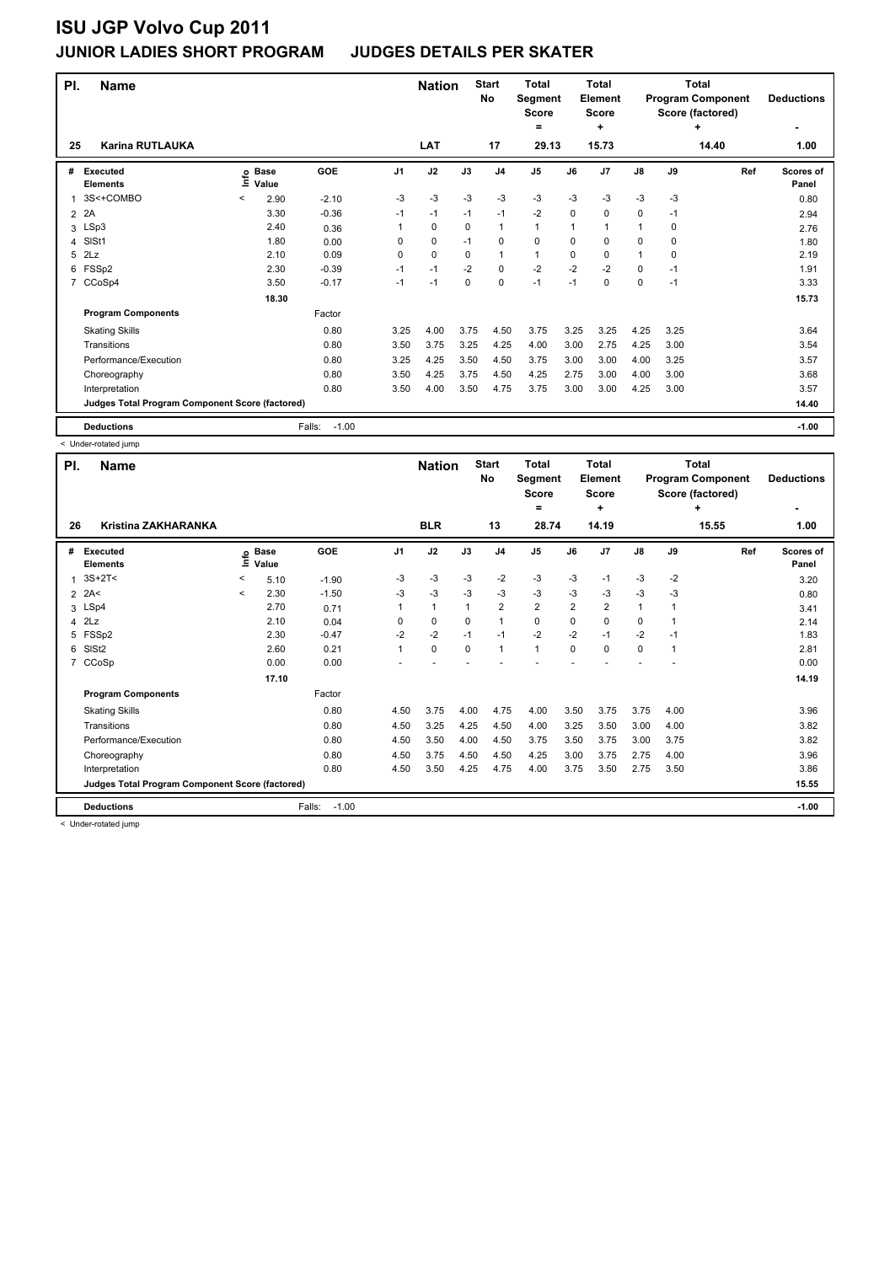| PI. | <b>Name</b>                                     |         |                      |                   |          | <b>Nation</b> |          | <b>Start</b><br><b>No</b> | <b>Total</b><br>Segment<br><b>Score</b><br>$=$ |             | Total<br>Element<br><b>Score</b><br>÷ |               |          | Total<br><b>Program Component</b><br>Score (factored)<br>٠ | <b>Deductions</b>  |
|-----|-------------------------------------------------|---------|----------------------|-------------------|----------|---------------|----------|---------------------------|------------------------------------------------|-------------|---------------------------------------|---------------|----------|------------------------------------------------------------|--------------------|
| 25  | <b>Karina RUTLAUKA</b>                          |         |                      |                   |          | <b>LAT</b>    |          | 17                        | 29.13                                          |             | 15.73                                 |               |          | 14.40                                                      | 1.00               |
| #   | Executed<br><b>Elements</b>                     | ١nfo    | <b>Base</b><br>Value | GOE               | J1       | J2            | J3       | J <sub>4</sub>            | J <sub>5</sub>                                 | J6          | J <sub>7</sub>                        | $\mathsf{J}8$ | J9       | Ref                                                        | Scores of<br>Panel |
|     | 3S<+COMBO                                       | $\,<\,$ | 2.90                 | $-2.10$           | $-3$     | -3            | $-3$     | $-3$                      | $-3$                                           | $-3$        | $-3$                                  | $-3$          | $-3$     |                                                            | 0.80               |
| 2   | 2A                                              |         | 3.30                 | $-0.36$           | $-1$     | $-1$          | $-1$     | $-1$                      | $-2$                                           | $\mathbf 0$ | $\mathbf 0$                           | 0             | $-1$     |                                                            | 2.94               |
| 3   | LSp3                                            |         | 2.40                 | 0.36              | 1        | 0             | 0        | $\mathbf{1}$              | 1                                              | 1           | 1                                     | 1             | 0        |                                                            | 2.76               |
| 4   | SIS <sub>t1</sub>                               |         | 1.80                 | 0.00              | 0        | $\mathbf 0$   | $-1$     | 0                         | 0                                              | $\Omega$    | 0                                     | 0             | 0        |                                                            | 1.80               |
| 5   | 2Lz                                             |         | 2.10                 | 0.09              | $\Omega$ | 0             | 0        | $\mathbf{1}$              | 1                                              | 0           | 0                                     | 1             | $\Omega$ |                                                            | 2.19               |
| 6   | FSSp2                                           |         | 2.30                 | $-0.39$           | $-1$     | $-1$          | $-2$     | $\mathbf 0$               | $-2$                                           | $-2$        | $-2$                                  | 0             | $-1$     |                                                            | 1.91               |
| 7   | CCoSp4                                          |         | 3.50                 | $-0.17$           | $-1$     | $-1$          | $\Omega$ | 0                         | $-1$                                           | $-1$        | 0                                     | 0             | $-1$     |                                                            | 3.33               |
|     |                                                 |         | 18.30                |                   |          |               |          |                           |                                                |             |                                       |               |          |                                                            | 15.73              |
|     | <b>Program Components</b>                       |         |                      | Factor            |          |               |          |                           |                                                |             |                                       |               |          |                                                            |                    |
|     | <b>Skating Skills</b>                           |         |                      | 0.80              | 3.25     | 4.00          | 3.75     | 4.50                      | 3.75                                           | 3.25        | 3.25                                  | 4.25          | 3.25     |                                                            | 3.64               |
|     | Transitions                                     |         |                      | 0.80              | 3.50     | 3.75          | 3.25     | 4.25                      | 4.00                                           | 3.00        | 2.75                                  | 4.25          | 3.00     |                                                            | 3.54               |
|     | Performance/Execution                           |         |                      | 0.80              | 3.25     | 4.25          | 3.50     | 4.50                      | 3.75                                           | 3.00        | 3.00                                  | 4.00          | 3.25     |                                                            | 3.57               |
|     | Choreography                                    |         |                      | 0.80              | 3.50     | 4.25          | 3.75     | 4.50                      | 4.25                                           | 2.75        | 3.00                                  | 4.00          | 3.00     |                                                            | 3.68               |
|     | Interpretation                                  |         |                      | 0.80              | 3.50     | 4.00          | 3.50     | 4.75                      | 3.75                                           | 3.00        | 3.00                                  | 4.25          | 3.00     |                                                            | 3.57               |
|     | Judges Total Program Component Score (factored) |         |                      |                   |          |               |          |                           |                                                |             |                                       |               |          |                                                            | 14.40              |
|     | <b>Deductions</b>                               |         |                      | $-1.00$<br>Falls: |          |               |          |                           |                                                |             |                                       |               |          |                                                            | $-1.00$            |

< Under-rotated jump

| PI.            | <b>Name</b>                                     |              |                      |                   |                | <b>Nation</b> |          | <b>Start</b><br>No | <b>Total</b><br>Segment<br><b>Score</b><br>= |                | <b>Total</b><br>Element<br><b>Score</b><br>٠ |              |      | Total<br><b>Program Component</b><br>Score (factored)<br>٠ | <b>Deductions</b>         |
|----------------|-------------------------------------------------|--------------|----------------------|-------------------|----------------|---------------|----------|--------------------|----------------------------------------------|----------------|----------------------------------------------|--------------|------|------------------------------------------------------------|---------------------------|
| 26             | <b>Kristina ZAKHARANKA</b>                      |              |                      |                   |                | <b>BLR</b>    |          | 13                 | 28.74                                        |                | 14.19                                        |              |      | 15.55                                                      | 1.00                      |
| #              | <b>Executed</b><br><b>Elements</b>              | ١mfo         | <b>Base</b><br>Value | GOE               | J <sub>1</sub> | J2            | J3       | J <sub>4</sub>     | J <sub>5</sub>                               | J6             | J7                                           | J8           | J9   | Ref                                                        | <b>Scores of</b><br>Panel |
| $\mathbf{1}$   | $3S+2T<$                                        | $\,<\,$      | 5.10                 | $-1.90$           | -3             | $-3$          | -3       | $-2$               | $-3$                                         | $-3$           | $-1$                                         | $-3$         | $-2$ |                                                            | 3.20                      |
| $\overline{2}$ | 2A<                                             | $\checkmark$ | 2.30                 | $-1.50$           | -3             | $-3$          | $-3$     | $-3$               | $-3$                                         | $-3$           | $-3$                                         | $-3$         | -3   |                                                            | 0.80                      |
|                | 3 LSp4                                          |              | 2.70                 | 0.71              |                | $\mathbf{1}$  |          | $\overline{2}$     | $\overline{2}$                               | $\overline{2}$ | 2                                            | $\mathbf{1}$ |      |                                                            | 3.41                      |
|                | $4$ $2Lz$                                       |              | 2.10                 | 0.04              | 0              | 0             | 0        | $\mathbf{1}$       | 0                                            | 0              | 0                                            | 0            |      |                                                            | 2.14                      |
| 5              | FSSp2                                           |              | 2.30                 | $-0.47$           | $-2$           | $-2$          | $-1$     | $-1$               | $-2$                                         | $-2$           | $-1$                                         | $-2$         | $-1$ |                                                            | 1.83                      |
| 6              | SISt <sub>2</sub>                               |              | 2.60                 | 0.21              | 1              | $\mathbf 0$   | $\Omega$ | 1                  | $\mathbf{1}$                                 | $\Omega$       | $\Omega$                                     | $\mathbf 0$  | 1    |                                                            | 2.81                      |
| $\overline{7}$ | CCoSp                                           |              | 0.00                 | 0.00              |                |               |          |                    |                                              |                |                                              |              |      |                                                            | 0.00                      |
|                |                                                 |              | 17.10                |                   |                |               |          |                    |                                              |                |                                              |              |      |                                                            | 14.19                     |
|                | <b>Program Components</b>                       |              |                      | Factor            |                |               |          |                    |                                              |                |                                              |              |      |                                                            |                           |
|                | <b>Skating Skills</b>                           |              |                      | 0.80              | 4.50           | 3.75          | 4.00     | 4.75               | 4.00                                         | 3.50           | 3.75                                         | 3.75         | 4.00 |                                                            | 3.96                      |
|                | Transitions                                     |              |                      | 0.80              | 4.50           | 3.25          | 4.25     | 4.50               | 4.00                                         | 3.25           | 3.50                                         | 3.00         | 4.00 |                                                            | 3.82                      |
|                | Performance/Execution                           |              |                      | 0.80              | 4.50           | 3.50          | 4.00     | 4.50               | 3.75                                         | 3.50           | 3.75                                         | 3.00         | 3.75 |                                                            | 3.82                      |
|                | Choreography                                    |              |                      | 0.80              | 4.50           | 3.75          | 4.50     | 4.50               | 4.25                                         | 3.00           | 3.75                                         | 2.75         | 4.00 |                                                            | 3.96                      |
|                | Interpretation                                  |              |                      | 0.80              | 4.50           | 3.50          | 4.25     | 4.75               | 4.00                                         | 3.75           | 3.50                                         | 2.75         | 3.50 |                                                            | 3.86                      |
|                | Judges Total Program Component Score (factored) |              |                      |                   |                |               |          |                    |                                              |                |                                              |              |      |                                                            | 15.55                     |
|                | <b>Deductions</b>                               |              |                      | $-1.00$<br>Falls: |                |               |          |                    |                                              |                |                                              |              |      |                                                            | $-1.00$                   |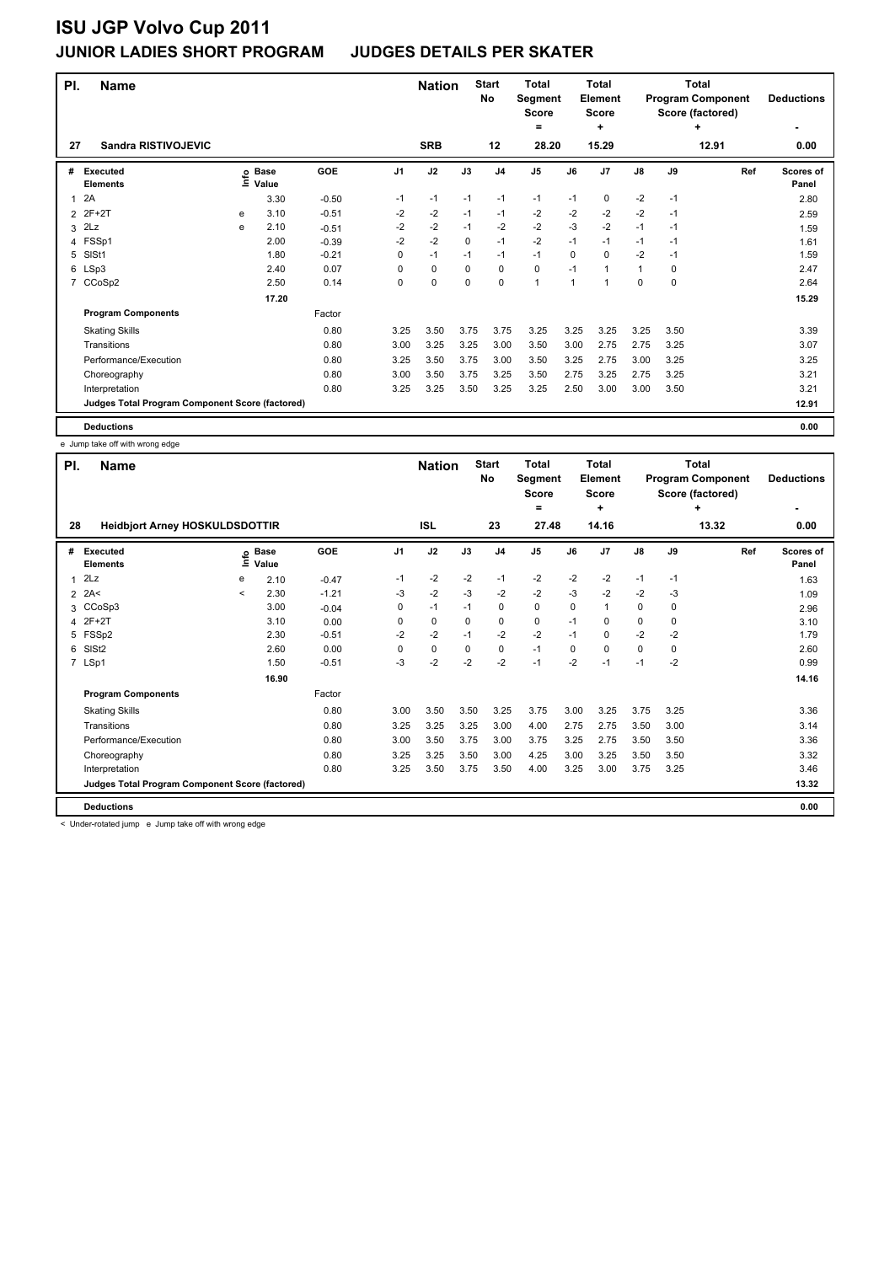| PI.            | <b>Name</b>                                     |   |                                  |         |                | <b>Nation</b> |             | <b>Start</b><br><b>No</b> | <b>Total</b><br>Segment<br><b>Score</b><br>= |      | <b>Total</b><br>Element<br><b>Score</b><br>٠ |              | <b>Total</b><br><b>Program Component</b><br>Score (factored) | <b>Deductions</b> |                    |
|----------------|-------------------------------------------------|---|----------------------------------|---------|----------------|---------------|-------------|---------------------------|----------------------------------------------|------|----------------------------------------------|--------------|--------------------------------------------------------------|-------------------|--------------------|
| 27             | <b>Sandra RISTIVOJEVIC</b>                      |   |                                  |         |                | <b>SRB</b>    |             | 12                        | 28.20                                        |      | 15.29                                        |              |                                                              | ٠<br>12.91        | 0.00               |
| #              | <b>Executed</b><br><b>Elements</b>              |   | <b>Base</b><br>e Base<br>⊆ Value | GOE     | J <sub>1</sub> | J2            | J3          | J <sub>4</sub>            | J <sub>5</sub>                               | J6   | J <sub>7</sub>                               | J8           | J9                                                           | Ref               | Scores of<br>Panel |
| 1              | 2A                                              |   | 3.30                             | $-0.50$ | $-1$           | $-1$          | $-1$        | $-1$                      | $-1$                                         | $-1$ | 0                                            | $-2$         | $-1$                                                         |                   | 2.80               |
| 2              | 2F+2T                                           | е | 3.10                             | $-0.51$ | $-2$           | -2            | $-1$        | $-1$                      | $-2$                                         | $-2$ | $-2$                                         | $-2$         | $-1$                                                         |                   | 2.59               |
| 3              | 2Lz                                             | e | 2.10                             | $-0.51$ | $-2$           | $-2$          | $-1$        | $-2$                      | $-2$                                         | $-3$ | $-2$                                         | $-1$         | $-1$                                                         |                   | 1.59               |
| 4              | FSSp1                                           |   | 2.00                             | $-0.39$ | $-2$           | $-2$          | $\Omega$    | $-1$                      | $-2$                                         | $-1$ | $-1$                                         | $-1$         | -1                                                           |                   | 1.61               |
| 5              | SISt1                                           |   | 1.80                             | $-0.21$ | 0              | $-1$          | $-1$        | $-1$                      | $-1$                                         | 0    | $\mathbf 0$                                  | $-2$         | $-1$                                                         |                   | 1.59               |
|                | 6 LSp3                                          |   | 2.40                             | 0.07    | 0              | $\pmb{0}$     | $\mathbf 0$ | $\mathbf 0$               | $\mathbf 0$                                  | $-1$ | 1                                            | $\mathbf{1}$ | 0                                                            |                   | 2.47               |
| $\overline{7}$ | CCoSp2                                          |   | 2.50                             | 0.14    | 0              | $\mathbf 0$   | $\mathbf 0$ | $\mathbf 0$               | 1                                            | 1    | 1                                            | 0            | 0                                                            |                   | 2.64               |
|                |                                                 |   | 17.20                            |         |                |               |             |                           |                                              |      |                                              |              |                                                              |                   | 15.29              |
|                | <b>Program Components</b>                       |   |                                  | Factor  |                |               |             |                           |                                              |      |                                              |              |                                                              |                   |                    |
|                | <b>Skating Skills</b>                           |   |                                  | 0.80    | 3.25           | 3.50          | 3.75        | 3.75                      | 3.25                                         | 3.25 | 3.25                                         | 3.25         | 3.50                                                         |                   | 3.39               |
|                | Transitions                                     |   |                                  | 0.80    | 3.00           | 3.25          | 3.25        | 3.00                      | 3.50                                         | 3.00 | 2.75                                         | 2.75         | 3.25                                                         |                   | 3.07               |
|                | Performance/Execution                           |   |                                  | 0.80    | 3.25           | 3.50          | 3.75        | 3.00                      | 3.50                                         | 3.25 | 2.75                                         | 3.00         | 3.25                                                         |                   | 3.25               |
|                | Choreography                                    |   |                                  | 0.80    | 3.00           | 3.50          | 3.75        | 3.25                      | 3.50                                         | 2.75 | 3.25                                         | 2.75         | 3.25                                                         |                   | 3.21               |
|                | Interpretation                                  |   |                                  | 0.80    | 3.25           | 3.25          | 3.50        | 3.25                      | 3.25                                         | 2.50 | 3.00                                         | 3.00         | 3.50                                                         |                   | 3.21               |
|                | Judges Total Program Component Score (factored) |   |                                  |         |                |               |             |                           |                                              |      |                                              |              |                                                              |                   | 12.91              |
|                | <b>Deductions</b>                               |   |                                  |         |                |               |             |                           |                                              |      |                                              |              |                                                              |                   | 0.00               |

e Jump take off with wrong edge

| PI.            | <b>Name</b>                                     |                            |                      |         |                | <b>Nation</b> |      | <b>Start</b><br>No | <b>Total</b><br>Segment<br>Score<br>٠ |      | <b>Total</b><br>Element<br><b>Score</b><br>٠ |               |          | Total<br><b>Program Component</b><br>Score (factored)<br>÷ | <b>Deductions</b><br>٠ |
|----------------|-------------------------------------------------|----------------------------|----------------------|---------|----------------|---------------|------|--------------------|---------------------------------------|------|----------------------------------------------|---------------|----------|------------------------------------------------------------|------------------------|
| 28             | <b>Heidbjort Arney HOSKULDSDOTTIR</b>           |                            | <b>ISL</b>           |         | 23             | 27.48         |      | 14.16              |                                       |      | 13.32                                        | 0.00          |          |                                                            |                        |
| #              | <b>Executed</b><br><b>Elements</b>              | $\underline{\mathfrak{e}}$ | <b>Base</b><br>Value | GOE     | J <sub>1</sub> | J2            | J3   | J <sub>4</sub>     | J <sub>5</sub>                        | J6   | J7                                           | $\mathsf{J}8$ | J9       | Ref                                                        | Scores of<br>Panel     |
| 1              | 2Lz                                             | е                          | 2.10                 | $-0.47$ | $-1$           | $-2$          | $-2$ | $-1$               | $-2$                                  | $-2$ | $-2$                                         | $-1$          | $-1$     |                                                            | 1.63                   |
| $\overline{2}$ | 2A<                                             | $\prec$                    | 2.30                 | $-1.21$ | -3             | $-2$          | -3   | $-2$               | $-2$                                  | -3   | $-2$                                         | $-2$          | -3       |                                                            | 1.09                   |
| 3              | CCoSp3                                          |                            | 3.00                 | $-0.04$ | 0              | $-1$          | $-1$ | $\pmb{0}$          | $\mathbf 0$                           | 0    | 1                                            | 0             | 0        |                                                            | 2.96                   |
| 4              | $2F+2T$                                         |                            | 3.10                 | 0.00    | 0              | 0             | 0    | 0                  | 0                                     | $-1$ | $\Omega$                                     | 0             | $\Omega$ |                                                            | 3.10                   |
| 5              | FSSp2                                           |                            | 2.30                 | $-0.51$ | $-2$           | $-2$          | $-1$ | $-2$               | $-2$                                  | $-1$ | 0                                            | $-2$          | $-2$     |                                                            | 1.79                   |
| 6              | SIS <sub>t2</sub>                               |                            | 2.60                 | 0.00    | $\Omega$       | $\mathbf 0$   | 0    | 0                  | $-1$                                  | 0    | $\Omega$                                     | $\mathbf 0$   | 0        |                                                            | 2.60                   |
|                | 7 LSp1                                          |                            | 1.50                 | $-0.51$ | $-3$           | $-2$          | $-2$ | $-2$               | $-1$                                  | -2   | $-1$                                         | $-1$          | $-2$     |                                                            | 0.99                   |
|                |                                                 |                            | 16.90                |         |                |               |      |                    |                                       |      |                                              |               |          |                                                            | 14.16                  |
|                | <b>Program Components</b>                       |                            |                      | Factor  |                |               |      |                    |                                       |      |                                              |               |          |                                                            |                        |
|                | <b>Skating Skills</b>                           |                            |                      | 0.80    | 3.00           | 3.50          | 3.50 | 3.25               | 3.75                                  | 3.00 | 3.25                                         | 3.75          | 3.25     |                                                            | 3.36                   |
|                | Transitions                                     |                            |                      | 0.80    | 3.25           | 3.25          | 3.25 | 3.00               | 4.00                                  | 2.75 | 2.75                                         | 3.50          | 3.00     |                                                            | 3.14                   |
|                | Performance/Execution                           |                            |                      | 0.80    | 3.00           | 3.50          | 3.75 | 3.00               | 3.75                                  | 3.25 | 2.75                                         | 3.50          | 3.50     |                                                            | 3.36                   |
|                | Choreography                                    |                            |                      | 0.80    | 3.25           | 3.25          | 3.50 | 3.00               | 4.25                                  | 3.00 | 3.25                                         | 3.50          | 3.50     |                                                            | 3.32                   |
|                | Interpretation                                  |                            |                      | 0.80    | 3.25           | 3.50          | 3.75 | 3.50               | 4.00                                  | 3.25 | 3.00                                         | 3.75          | 3.25     |                                                            | 3.46                   |
|                | Judges Total Program Component Score (factored) |                            |                      |         |                |               |      |                    |                                       |      |                                              |               |          |                                                            | 13.32                  |
|                | <b>Deductions</b>                               |                            |                      |         |                |               |      |                    |                                       |      |                                              |               |          |                                                            | 0.00                   |

< Under-rotated jump e Jump take off with wrong edge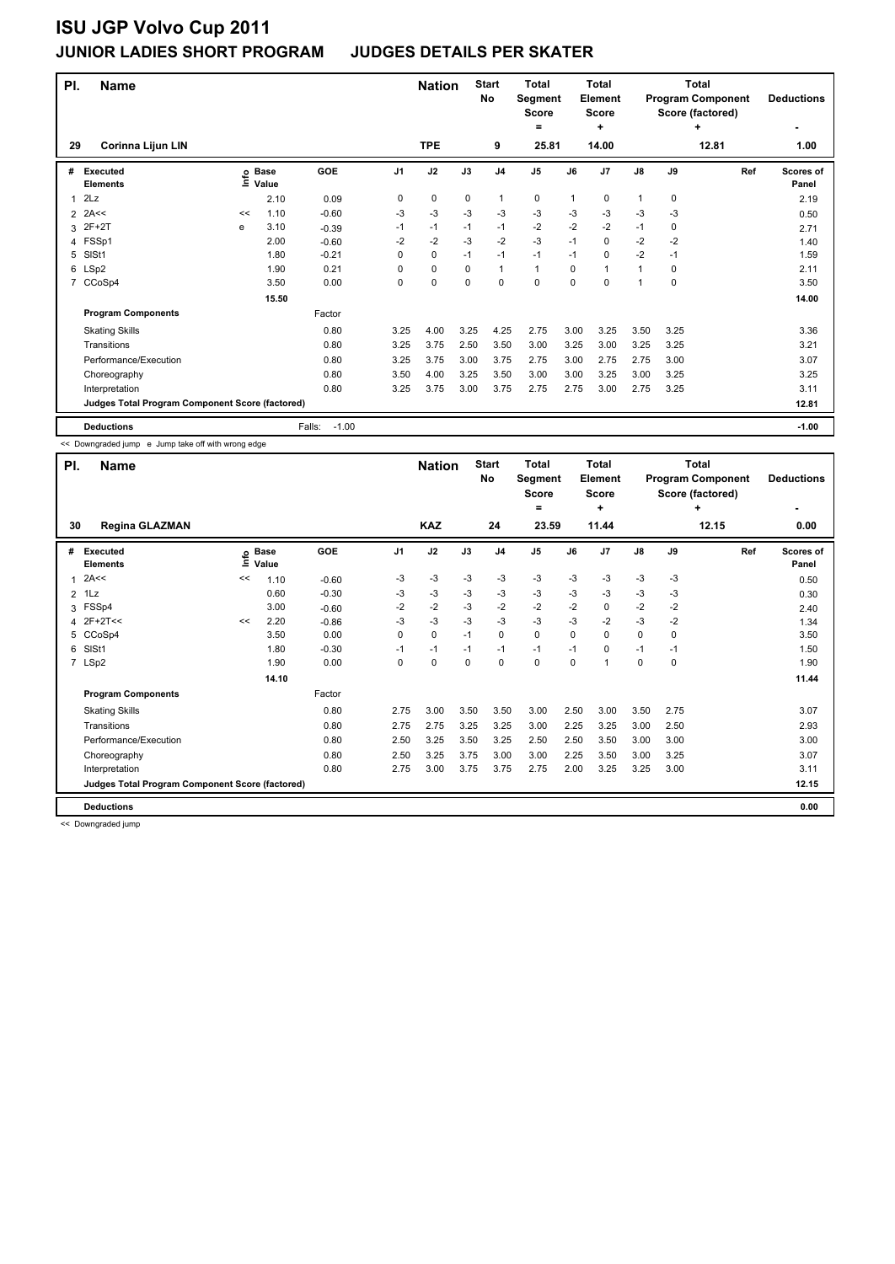| PI.                                             | <b>Name</b>                        |    |                   |                   |                | <b>Nation</b> |             | <b>Start</b><br>No | <b>Total</b><br>Segment<br><b>Score</b><br>٠ |      | <b>Total</b><br>Element<br><b>Score</b><br>÷ |               | Total<br><b>Program Component</b><br>Score (factored) | <b>Deductions</b> |                    |
|-------------------------------------------------|------------------------------------|----|-------------------|-------------------|----------------|---------------|-------------|--------------------|----------------------------------------------|------|----------------------------------------------|---------------|-------------------------------------------------------|-------------------|--------------------|
| 29                                              | Corinna Lijun LIN                  |    |                   |                   |                | <b>TPE</b>    |             | 9                  | 25.81                                        |      | 14.00                                        |               |                                                       | 12.81             | 1.00               |
| #                                               | <b>Executed</b><br><b>Elements</b> |    | e Base<br>⊑ Value | GOE               | J <sub>1</sub> | J2            | J3          | J <sub>4</sub>     | J <sub>5</sub>                               | J6   | J <sub>7</sub>                               | $\mathsf{J}8$ | J9                                                    | Ref               | Scores of<br>Panel |
| 1                                               | 2Lz                                |    | 2.10              | 0.09              | 0              | 0             | 0           | 1                  | 0                                            | 1    | 0                                            | 1             | 0                                                     |                   | 2.19               |
| 2                                               | 2A<<                               | << | 1.10              | $-0.60$           | -3             | -3            | $-3$        | $-3$               | $-3$                                         | -3   | $-3$                                         | $-3$          | -3                                                    |                   | 0.50               |
| 3                                               | $2F+2T$                            | e  | 3.10              | $-0.39$           | $-1$           | $-1$          | $-1$        | $-1$               | $-2$                                         | $-2$ | $-2$                                         | $-1$          | 0                                                     |                   | 2.71               |
| $\overline{4}$                                  | FSSp1                              |    | 2.00              | $-0.60$           | $-2$           | $-2$          | $-3$        | $-2$               | $-3$                                         | $-1$ | $\mathbf 0$                                  | $-2$          | $-2$                                                  |                   | 1.40               |
| 5                                               | SISt1                              |    | 1.80              | $-0.21$           | 0              | $\mathbf 0$   | $-1$        | $-1$               | $-1$                                         | $-1$ | 0                                            | $-2$          | $-1$                                                  |                   | 1.59               |
| 6                                               | LSp2                               |    | 1.90              | 0.21              | 0              | 0             | 0           | $\mathbf{1}$       | $\mathbf{1}$                                 | 0    | 1                                            | 1             | 0                                                     |                   | 2.11               |
| 7                                               | CCoSp4                             |    | 3.50              | 0.00              | 0              | 0             | $\mathbf 0$ | $\mathbf 0$        | 0                                            | 0    | 0                                            | 1             | 0                                                     |                   | 3.50               |
|                                                 |                                    |    | 15.50             |                   |                |               |             |                    |                                              |      |                                              |               |                                                       |                   | 14.00              |
|                                                 | <b>Program Components</b>          |    |                   | Factor            |                |               |             |                    |                                              |      |                                              |               |                                                       |                   |                    |
|                                                 | <b>Skating Skills</b>              |    |                   | 0.80              | 3.25           | 4.00          | 3.25        | 4.25               | 2.75                                         | 3.00 | 3.25                                         | 3.50          | 3.25                                                  |                   | 3.36               |
|                                                 | Transitions                        |    |                   | 0.80              | 3.25           | 3.75          | 2.50        | 3.50               | 3.00                                         | 3.25 | 3.00                                         | 3.25          | 3.25                                                  |                   | 3.21               |
|                                                 | Performance/Execution              |    |                   | 0.80              | 3.25           | 3.75          | 3.00        | 3.75               | 2.75                                         | 3.00 | 2.75                                         | 2.75          | 3.00                                                  |                   | 3.07               |
|                                                 | Choreography                       |    |                   | 0.80              | 3.50           | 4.00          | 3.25        | 3.50               | 3.00                                         | 3.00 | 3.25                                         | 3.00          | 3.25                                                  |                   | 3.25               |
|                                                 | Interpretation                     |    |                   | 0.80              | 3.25           | 3.75          | 3.00        | 3.75               | 2.75                                         | 2.75 | 3.00                                         | 2.75          | 3.25                                                  |                   | 3.11               |
| Judges Total Program Component Score (factored) |                                    |    |                   |                   |                |               |             |                    |                                              |      |                                              | 12.81         |                                                       |                   |                    |
|                                                 | <b>Deductions</b>                  |    |                   | $-1.00$<br>Falls: |                |               |             |                    |                                              |      |                                              |               |                                                       |                   | $-1.00$            |

<< Downgraded jump e Jump take off with wrong edge

| PI.          | <b>Name</b>                                     |    | <b>Nation</b>   |         | <b>Start</b><br>No | <b>Total</b><br>Segment<br><b>Score</b><br>= |      | Total<br>Element<br><b>Score</b><br>٠ |                | Total<br><b>Program Component</b><br>Score (factored) | <b>Deductions</b> |               |             |       |                           |
|--------------|-------------------------------------------------|----|-----------------|---------|--------------------|----------------------------------------------|------|---------------------------------------|----------------|-------------------------------------------------------|-------------------|---------------|-------------|-------|---------------------------|
| 30           | <b>Regina GLAZMAN</b>                           |    |                 |         |                    | <b>KAZ</b>                                   |      | 24                                    | 23.59          |                                                       | 11.44             |               |             | 12.15 | 0.00                      |
| #            | Executed<br>Elements                            | Ξ  | o Base<br>Value | GOE     | J <sub>1</sub>     | J2                                           | J3   | J <sub>4</sub>                        | J <sub>5</sub> | J6                                                    | J7                | $\mathsf{J}8$ | J9          | Ref   | <b>Scores of</b><br>Panel |
| $\mathbf{1}$ | 2A<<                                            | << | 1.10            | $-0.60$ | -3                 | $-3$                                         | -3   | -3                                    | $-3$           | $-3$                                                  | $-3$              | $-3$          | $-3$        |       | 0.50                      |
|              | $2$ 1Lz                                         |    | 0.60            | $-0.30$ | $-3$               | $-3$                                         | $-3$ | $-3$                                  | $-3$           | $-3$                                                  | $-3$              | $-3$          | -3          |       | 0.30                      |
| 3            | FSSp4                                           |    | 3.00            | $-0.60$ | $-2$               | $-2$                                         | $-3$ | $-2$                                  | $-2$           | $-2$                                                  | 0                 | $-2$          | $-2$        |       | 2.40                      |
|              | 4 2F+2T<<                                       | << | 2.20            | $-0.86$ | -3                 | $-3$                                         | $-3$ | $-3$                                  | $-3$           | $-3$                                                  | $-2$              | $-3$          | $-2$        |       | 1.34                      |
|              | 5 CCoSp4                                        |    | 3.50            | 0.00    | 0                  | $\mathbf 0$                                  | $-1$ | 0                                     | $\mathbf 0$    | $\Omega$                                              | 0                 | 0             | 0           |       | 3.50                      |
| 6            | SIS <sub>t1</sub>                               |    | 1.80            | $-0.30$ | $-1$               | $-1$                                         | $-1$ | $-1$                                  | $-1$           | $-1$                                                  | $\Omega$          | $-1$          | $-1$        |       | 1.50                      |
|              | 7 LSp2                                          |    | 1.90            | 0.00    | 0                  | 0                                            | 0    | 0                                     | 0              | 0                                                     |                   | 0             | $\mathbf 0$ |       | 1.90                      |
|              |                                                 |    | 14.10           |         |                    |                                              |      |                                       |                |                                                       |                   |               |             |       | 11.44                     |
|              | <b>Program Components</b>                       |    |                 | Factor  |                    |                                              |      |                                       |                |                                                       |                   |               |             |       |                           |
|              | <b>Skating Skills</b>                           |    |                 | 0.80    | 2.75               | 3.00                                         | 3.50 | 3.50                                  | 3.00           | 2.50                                                  | 3.00              | 3.50          | 2.75        |       | 3.07                      |
|              | Transitions                                     |    |                 | 0.80    | 2.75               | 2.75                                         | 3.25 | 3.25                                  | 3.00           | 2.25                                                  | 3.25              | 3.00          | 2.50        |       | 2.93                      |
|              | Performance/Execution                           |    |                 | 0.80    | 2.50               | 3.25                                         | 3.50 | 3.25                                  | 2.50           | 2.50                                                  | 3.50              | 3.00          | 3.00        |       | 3.00                      |
|              | Choreography                                    |    |                 | 0.80    | 2.50               | 3.25                                         | 3.75 | 3.00                                  | 3.00           | 2.25                                                  | 3.50              | 3.00          | 3.25        |       | 3.07                      |
|              | Interpretation                                  |    |                 | 0.80    | 2.75               | 3.00                                         | 3.75 | 3.75                                  | 2.75           | 2.00                                                  | 3.25              | 3.25          | 3.00        |       | 3.11                      |
|              | Judges Total Program Component Score (factored) |    |                 |         |                    |                                              |      |                                       |                |                                                       |                   |               |             |       | 12.15                     |
|              | <b>Deductions</b>                               |    |                 |         |                    |                                              |      |                                       |                |                                                       |                   |               |             |       | 0.00                      |

<< Downgraded jump